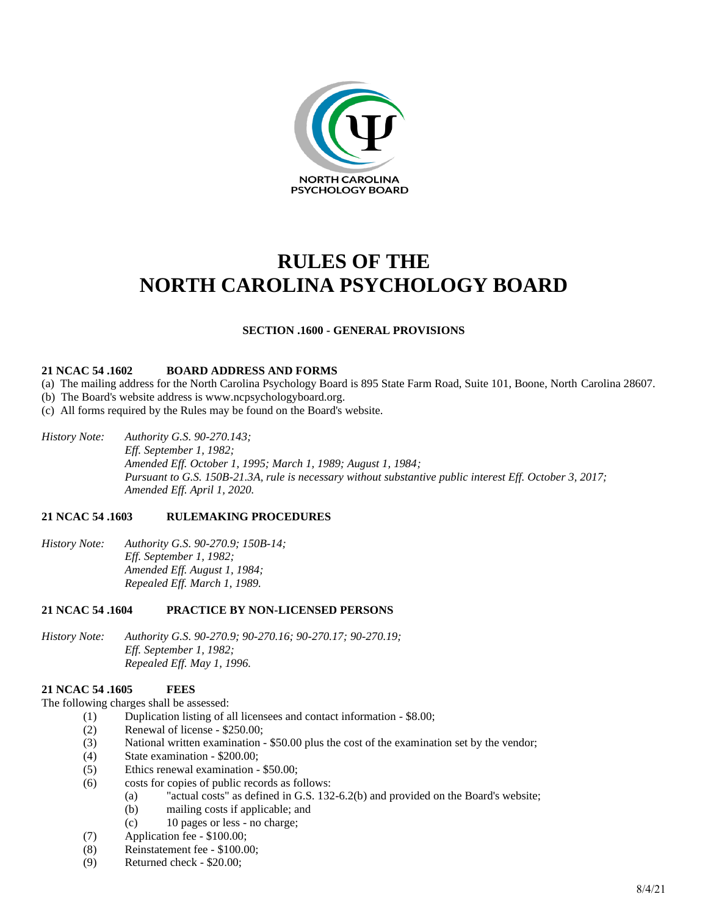

# **RULES OF THE NORTH CAROLINA PSYCHOLOGY BOARD**

# **SECTION .1600 - GENERAL PROVISIONS**

#### **21 NCAC 54 .1602 BOARD ADDRESS AND FORMS**

- (a) The mailing address for the North Carolina Psychology Board is 895 State Farm Road, Suite 101, Boone, North Carolina 28607.
- (b) The Board's website address is www.ncpsychologyboard.org.
- (c) All forms required by the Rules may be found on the Board's website.
- *History Note: Authority G.S. 90-270.143; Eff. September 1, 1982; Amended Eff. October 1, 1995; March 1, 1989; August 1, 1984; Pursuant to G.S. 150B-21.3A, rule is necessary without substantive public interest Eff. October 3, 2017; Amended Eff. April 1, 2020.*

#### **21 NCAC 54 .1603 RULEMAKING PROCEDURES**

*History Note: Authority G.S. 90-270.9; 150B-14; Eff. September 1, 1982; Amended Eff. August 1, 1984; Repealed Eff. March 1, 1989.*

# **21 NCAC 54 .1604 PRACTICE BY NON-LICENSED PERSONS**

*History Note: Authority G.S. 90-270.9; 90-270.16; 90-270.17; 90-270.19; Eff. September 1, 1982; Repealed Eff. May 1, 1996.*

# **21 NCAC 54 .1605 FEES**

The following charges shall be assessed:

- (1) Duplication listing of all licensees and contact information \$8.00;
	- (2) Renewal of license \$250.00;
	- (3) National written examination \$50.00 plus the cost of the examination set by the vendor;
	- (4) State examination \$200.00;
	- (5) Ethics renewal examination \$50.00;
	- (6) costs for copies of public records as follows:
		- (a) "actual costs" as defined in G.S. 132-6.2(b) and provided on the Board's website;
		- (b) mailing costs if applicable; and
		- (c) 10 pages or less no charge;
	- (7) Application fee \$100.00;
	- (8) Reinstatement fee \$100.00;
	- (9) Returned check \$20.00;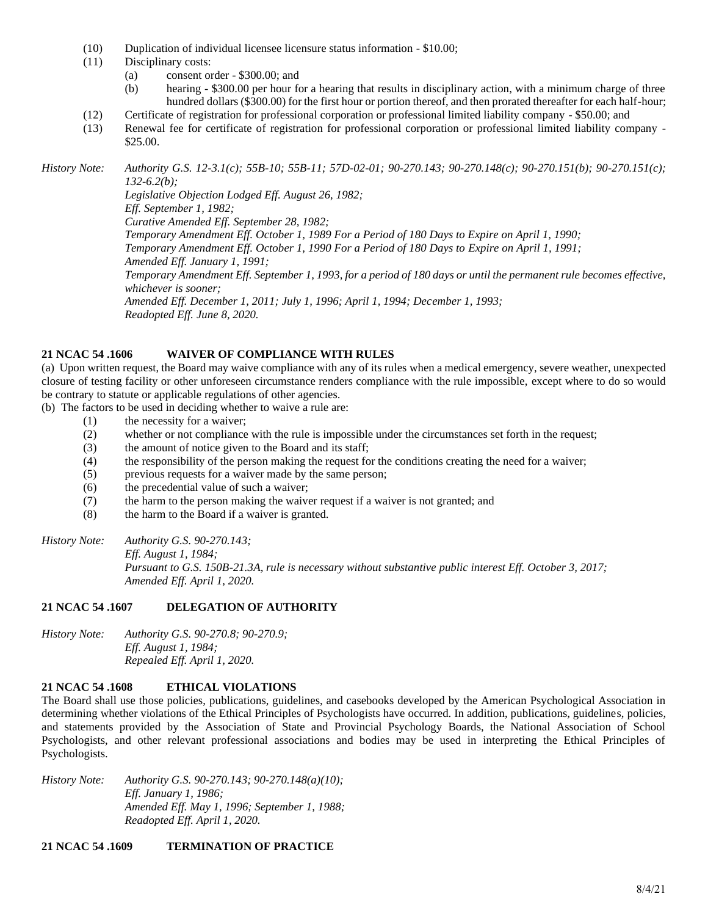- (10) Duplication of individual licensee licensure status information \$10.00;
- (11) Disciplinary costs:
	- (a) consent order \$300.00; and
	- (b) hearing \$300.00 per hour for a hearing that results in disciplinary action, with a minimum charge of three hundred dollars (\$300.00) for the first hour or portion thereof, and then prorated thereafter for each half-hour;
- (12) Certificate of registration for professional corporation or professional limited liability company \$50.00; and
- (13) Renewal fee for certificate of registration for professional corporation or professional limited liability company \$25.00.

*History Note: Authority G.S. 12-3.1(c); 55B-10; 55B-11; 57D-02-01; 90-270.143; 90-270.148(c); 90-270.151(b); 90-270.151(c); 132-6.2(b); Legislative Objection Lodged Eff. August 26, 1982; Eff. September 1, 1982; Curative Amended Eff. September 28, 1982; Temporary Amendment Eff. October 1, 1989 For a Period of 180 Days to Expire on April 1, 1990;*

*Temporary Amendment Eff. October 1, 1990 For a Period of 180 Days to Expire on April 1, 1991;*

*Amended Eff. January 1, 1991;*

*Temporary Amendment Eff. September 1, 1993, for a period of 180 days or until the permanent rule becomes effective, whichever is sooner;*

*Amended Eff. December 1, 2011; July 1, 1996; April 1, 1994; December 1, 1993; Readopted Eff. June 8, 2020.*

### **21 NCAC 54 .1606 WAIVER OF COMPLIANCE WITH RULES**

(a) Upon written request, the Board may waive compliance with any of its rules when a medical emergency, severe weather, unexpected closure of testing facility or other unforeseen circumstance renders compliance with the rule impossible, except where to do so would be contrary to statute or applicable regulations of other agencies.

(b) The factors to be used in deciding whether to waive a rule are:

- (1) the necessity for a waiver;
- (2) whether or not compliance with the rule is impossible under the circumstances set forth in the request;
- (3) the amount of notice given to the Board and its staff;
- (4) the responsibility of the person making the request for the conditions creating the need for a waiver;
- (5) previous requests for a waiver made by the same person;
- (6) the precedential value of such a waiver;
- (7) the harm to the person making the waiver request if a waiver is not granted; and
- (8) the harm to the Board if a waiver is granted.
- *History Note: Authority G.S. 90-270.143; Eff. August 1, 1984; Pursuant to G.S. 150B-21.3A, rule is necessary without substantive public interest Eff. October 3, 2017; Amended Eff. April 1, 2020.*

# **21 NCAC 54 .1607 DELEGATION OF AUTHORITY**

*History Note: Authority G.S. 90-270.8; 90-270.9; Eff. August 1, 1984; Repealed Eff. April 1, 2020.*

# **21 NCAC 54 .1608 ETHICAL VIOLATIONS**

The Board shall use those policies, publications, guidelines, and casebooks developed by the American Psychological Association in determining whether violations of the Ethical Principles of Psychologists have occurred. In addition, publications, guidelines, policies, and statements provided by the Association of State and Provincial Psychology Boards, the National Association of School Psychologists, and other relevant professional associations and bodies may be used in interpreting the Ethical Principles of Psychologists.

*History Note: Authority G.S. 90-270.143; 90-270.148(a)(10); Eff. January 1, 1986; Amended Eff. May 1, 1996; September 1, 1988; Readopted Eff. April 1, 2020.*

# **21 NCAC 54 .1609 TERMINATION OF PRACTICE**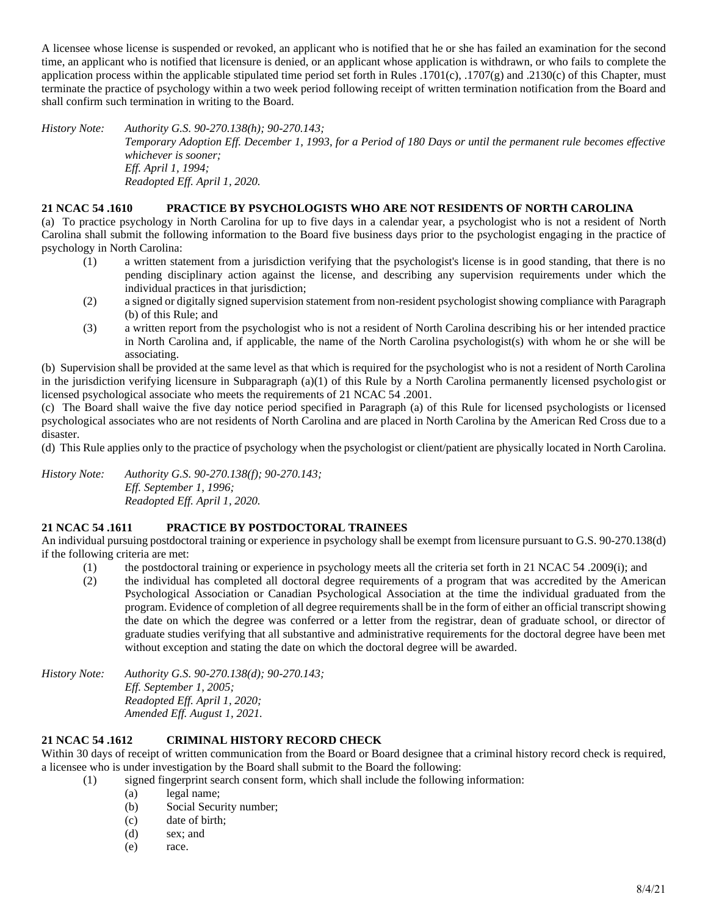A licensee whose license is suspended or revoked, an applicant who is notified that he or she has failed an examination for the second time, an applicant who is notified that licensure is denied, or an applicant whose application is withdrawn, or who fails to complete the application process within the applicable stipulated time period set forth in Rules .1701(c), .1707(g) and .2130(c) of this Chapter, must terminate the practice of psychology within a two week period following receipt of written termination notification from the Board and shall confirm such termination in writing to the Board.

*History Note: Authority G.S. 90-270.138(h); 90-270.143; Temporary Adoption Eff. December 1, 1993, for a Period of 180 Days or until the permanent rule becomes effective whichever is sooner; Eff. April 1, 1994; Readopted Eff. April 1, 2020.*

# **21 NCAC 54 .1610 PRACTICE BY PSYCHOLOGISTS WHO ARE NOT RESIDENTS OF NORTH CAROLINA**

(a) To practice psychology in North Carolina for up to five days in a calendar year, a psychologist who is not a resident of North Carolina shall submit the following information to the Board five business days prior to the psychologist engaging in the practice of psychology in North Carolina:

- (1) a written statement from a jurisdiction verifying that the psychologist's license is in good standing, that there is no pending disciplinary action against the license, and describing any supervision requirements under which the individual practices in that jurisdiction;
- (2) a signed or digitally signed supervision statement from non-resident psychologist showing compliance with Paragraph (b) of this Rule; and
- (3) a written report from the psychologist who is not a resident of North Carolina describing his or her intended practice in North Carolina and, if applicable, the name of the North Carolina psychologist(s) with whom he or she will be associating.

(b) Supervision shall be provided at the same level as that which is required for the psychologist who is not a resident of North Carolina in the jurisdiction verifying licensure in Subparagraph (a)(1) of this Rule by a North Carolina permanently licensed psychologist or licensed psychological associate who meets the requirements of 21 NCAC 54 .2001.

(c) The Board shall waive the five day notice period specified in Paragraph (a) of this Rule for licensed psychologists or licensed psychological associates who are not residents of North Carolina and are placed in North Carolina by the American Red Cross due to a disaster.

(d) This Rule applies only to the practice of psychology when the psychologist or client/patient are physically located in North Carolina.

*History Note: Authority G.S. 90-270.138(f); 90-270.143; Eff. September 1, 1996; Readopted Eff. April 1, 2020.*

# **21 NCAC 54 .1611 PRACTICE BY POSTDOCTORAL TRAINEES**

An individual pursuing postdoctoral training or experience in psychology shall be exempt from licensure pursuant to G.S. 90-270.138(d) if the following criteria are met:

- (1) the postdoctoral training or experience in psychology meets all the criteria set forth in 21 NCAC 54 .2009(i); and
- (2) the individual has completed all doctoral degree requirements of a program that was accredited by the American Psychological Association or Canadian Psychological Association at the time the individual graduated from the program. Evidence of completion of all degree requirements shall be in the form of either an official transcript showing the date on which the degree was conferred or a letter from the registrar, dean of graduate school, or director of graduate studies verifying that all substantive and administrative requirements for the doctoral degree have been met without exception and stating the date on which the doctoral degree will be awarded.

*History Note: Authority G.S. 90-270.138(d); 90-270.143; Eff. September 1, 2005; Readopted Eff. April 1, 2020; Amended Eff. August 1, 2021.*

# **21 NCAC 54 .1612 CRIMINAL HISTORY RECORD CHECK**

Within 30 days of receipt of written communication from the Board or Board designee that a criminal history record check is required, a licensee who is under investigation by the Board shall submit to the Board the following:

- (1) signed fingerprint search consent form, which shall include the following information:
	- (a) legal name;
	- (b) Social Security number;
	- (c) date of birth;
	- (d) sex; and
	- (e) race.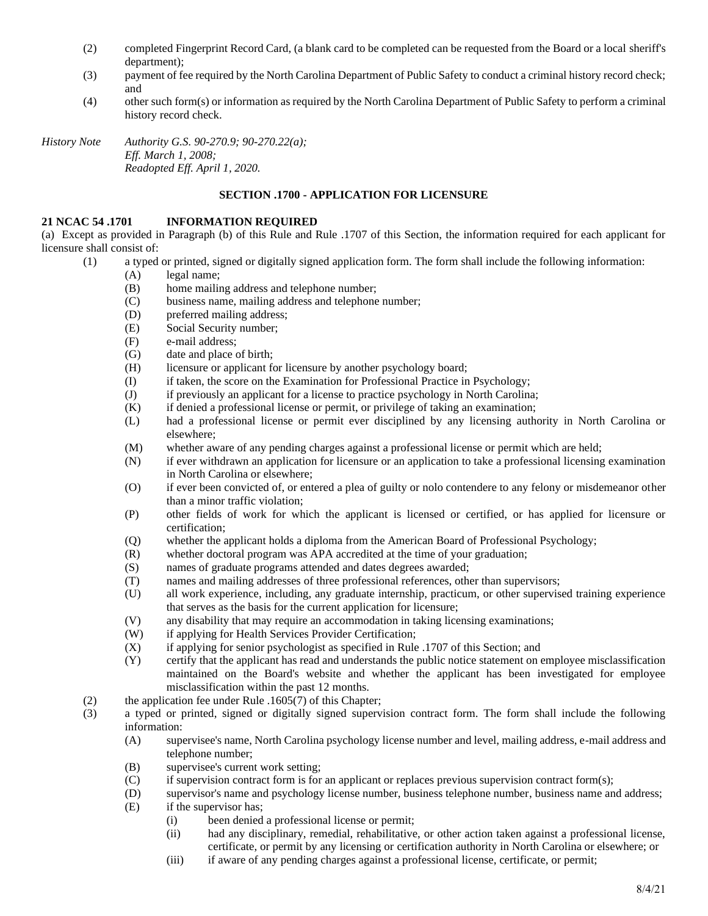- (2) completed Fingerprint Record Card, (a blank card to be completed can be requested from the Board or a local sheriff's department);
- (3) payment of fee required by the North Carolina Department of Public Safety to conduct a criminal history record check; and
- (4) other such form(s) or information as required by the North Carolina Department of Public Safety to perform a criminal history record check.

*History Note Authority G.S. 90-270.9; 90-270.22(a); Eff. March 1, 2008; Readopted Eff. April 1, 2020.*

# **SECTION .1700 - APPLICATION FOR LICENSURE**

### **21 NCAC 54 .1701 INFORMATION REQUIRED**

(a) Except as provided in Paragraph (b) of this Rule and Rule .1707 of this Section, the information required for each applicant for licensure shall consist of:

- (1) a typed or printed, signed or digitally signed application form. The form shall include the following information:
	- (A) legal name;
	- (B) home mailing address and telephone number;
	- (C) business name, mailing address and telephone number;
	- (D) preferred mailing address;
	- (E) Social Security number;
	- (F) e-mail address;
	- (G) date and place of birth;
	- (H) licensure or applicant for licensure by another psychology board;
	- (I) if taken, the score on the Examination for Professional Practice in Psychology;
	- (J) if previously an applicant for a license to practice psychology in North Carolina;
	- (K) if denied a professional license or permit, or privilege of taking an examination;
	- (L) had a professional license or permit ever disciplined by any licensing authority in North Carolina or elsewhere;
	- (M) whether aware of any pending charges against a professional license or permit which are held;
	- (N) if ever withdrawn an application for licensure or an application to take a professional licensing examination in North Carolina or elsewhere;
	- (O) if ever been convicted of, or entered a plea of guilty or nolo contendere to any felony or misdemeanor other than a minor traffic violation;
	- (P) other fields of work for which the applicant is licensed or certified, or has applied for licensure or certification;
	- (Q) whether the applicant holds a diploma from the American Board of Professional Psychology;
	- (R) whether doctoral program was APA accredited at the time of your graduation;
	- (S) names of graduate programs attended and dates degrees awarded;
	- (T) names and mailing addresses of three professional references, other than supervisors;
	- (U) all work experience, including, any graduate internship, practicum, or other supervised training experience that serves as the basis for the current application for licensure;
	- (V) any disability that may require an accommodation in taking licensing examinations;
	- (W) if applying for Health Services Provider Certification;
	- (X) if applying for senior psychologist as specified in Rule .1707 of this Section; and
	- (Y) certify that the applicant has read and understands the public notice statement on employee misclassification maintained on the Board's website and whether the applicant has been investigated for employee misclassification within the past 12 months.
- (2) the application fee under Rule .1605(7) of this Chapter;
- (3) a typed or printed, signed or digitally signed supervision contract form. The form shall include the following information:
	- (A) supervisee's name, North Carolina psychology license number and level, mailing address, e-mail address and telephone number;
	- (B) supervisee's current work setting;
	- (C) if supervision contract form is for an applicant or replaces previous supervision contract form(s);
	- (D) supervisor's name and psychology license number, business telephone number, business name and address;
	- (E) if the supervisor has;
		- (i) been denied a professional license or permit;
		- (ii) had any disciplinary, remedial, rehabilitative, or other action taken against a professional license, certificate, or permit by any licensing or certification authority in North Carolina or elsewhere; or
		- (iii) if aware of any pending charges against a professional license, certificate, or permit;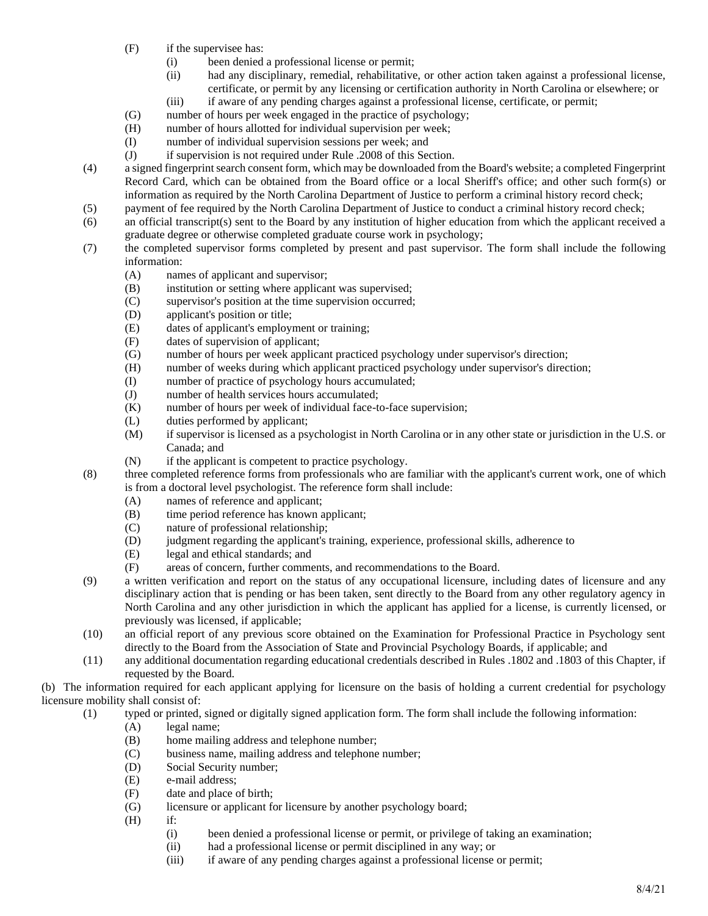- (F) if the supervisee has:
	- (i) been denied a professional license or permit;
	- (ii) had any disciplinary, remedial, rehabilitative, or other action taken against a professional license, certificate, or permit by any licensing or certification authority in North Carolina or elsewhere; or
	- (iii) if aware of any pending charges against a professional license, certificate, or permit;
- (G) number of hours per week engaged in the practice of psychology;
- (H) number of hours allotted for individual supervision per week;
- (I) number of individual supervision sessions per week; and
- (J) if supervision is not required under Rule .2008 of this Section.
- (4) a signed fingerprint search consent form, which may be downloaded from the Board's website; a completed Fingerprint Record Card, which can be obtained from the Board office or a local Sheriff's office; and other such form(s) or information as required by the North Carolina Department of Justice to perform a criminal history record check;
- (5) payment of fee required by the North Carolina Department of Justice to conduct a criminal history record check;
- (6) an official transcript(s) sent to the Board by any institution of higher education from which the applicant received a graduate degree or otherwise completed graduate course work in psychology;
- (7) the completed supervisor forms completed by present and past supervisor. The form shall include the following information:
	- (A) names of applicant and supervisor;
	- (B) institution or setting where applicant was supervised;
	- (C) supervisor's position at the time supervision occurred;
	- (D) applicant's position or title;
	- (E) dates of applicant's employment or training;
	- (F) dates of supervision of applicant;
	- (G) number of hours per week applicant practiced psychology under supervisor's direction;
	- (H) number of weeks during which applicant practiced psychology under supervisor's direction;
	- (I) number of practice of psychology hours accumulated;
	- (J) number of health services hours accumulated;
	- (K) number of hours per week of individual face-to-face supervision;
	- (L) duties performed by applicant;
	- (M) if supervisor is licensed as a psychologist in North Carolina or in any other state or jurisdiction in the U.S. or Canada; and
	- (N) if the applicant is competent to practice psychology.
- (8) three completed reference forms from professionals who are familiar with the applicant's current work, one of which is from a doctoral level psychologist. The reference form shall include:
	- (A) names of reference and applicant;
	- (B) time period reference has known applicant;
	- (C) nature of professional relationship;
	- (D) judgment regarding the applicant's training, experience, professional skills, adherence to
	- (E) legal and ethical standards; and
	- (F) areas of concern, further comments, and recommendations to the Board.
- (9) a written verification and report on the status of any occupational licensure, including dates of licensure and any disciplinary action that is pending or has been taken, sent directly to the Board from any other regulatory agency in North Carolina and any other jurisdiction in which the applicant has applied for a license, is currently licensed, or previously was licensed, if applicable;
- (10) an official report of any previous score obtained on the Examination for Professional Practice in Psychology sent directly to the Board from the Association of State and Provincial Psychology Boards, if applicable; and
- (11) any additional documentation regarding educational credentials described in Rules .1802 and .1803 of this Chapter, if requested by the Board.

(b) The information required for each applicant applying for licensure on the basis of holding a current credential for psychology licensure mobility shall consist of:

- (1) typed or printed, signed or digitally signed application form. The form shall include the following information:
	- (A) legal name;
	- (B) home mailing address and telephone number;
	- (C) business name, mailing address and telephone number;
	- (D) Social Security number;
	- (E) e-mail address;
	- (F) date and place of birth;
	- (G) licensure or applicant for licensure by another psychology board;
	- (H) if:
		- (i) been denied a professional license or permit, or privilege of taking an examination;
		- (ii) had a professional license or permit disciplined in any way; or
		- (iii) if aware of any pending charges against a professional license or permit;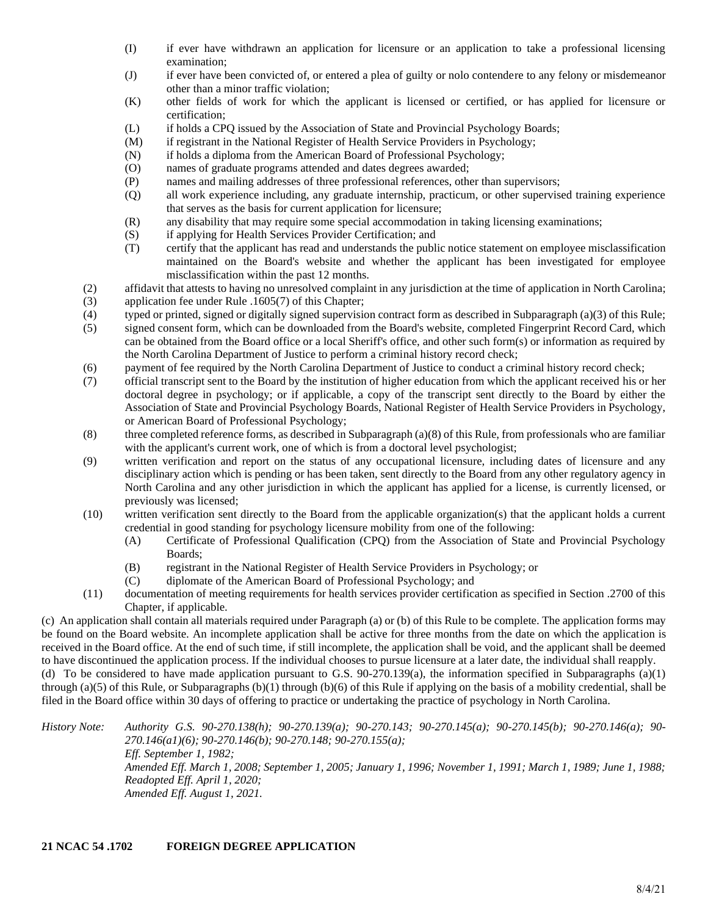- (I) if ever have withdrawn an application for licensure or an application to take a professional licensing examination;
- (J) if ever have been convicted of, or entered a plea of guilty or nolo contendere to any felony or misdemeanor other than a minor traffic violation;
- (K) other fields of work for which the applicant is licensed or certified, or has applied for licensure or certification;
- (L) if holds a CPQ issued by the Association of State and Provincial Psychology Boards;
- (M) if registrant in the National Register of Health Service Providers in Psychology;
- (N) if holds a diploma from the American Board of Professional Psychology;
- (O) names of graduate programs attended and dates degrees awarded;
- (P) names and mailing addresses of three professional references, other than supervisors;
- (Q) all work experience including, any graduate internship, practicum, or other supervised training experience that serves as the basis for current application for licensure;
- (R) any disability that may require some special accommodation in taking licensing examinations;
- (S) if applying for Health Services Provider Certification; and
- (T) certify that the applicant has read and understands the public notice statement on employee misclassification maintained on the Board's website and whether the applicant has been investigated for employee misclassification within the past 12 months.
- (2) affidavit that attests to having no unresolved complaint in any jurisdiction at the time of application in North Carolina;
- (3) application fee under Rule .1605(7) of this Chapter;
- (4) typed or printed, signed or digitally signed supervision contract form as described in Subparagraph (a)(3) of this Rule;
- (5) signed consent form, which can be downloaded from the Board's website, completed Fingerprint Record Card, which can be obtained from the Board office or a local Sheriff's office, and other such form(s) or information as required by the North Carolina Department of Justice to perform a criminal history record check;
- (6) payment of fee required by the North Carolina Department of Justice to conduct a criminal history record check;
- (7) official transcript sent to the Board by the institution of higher education from which the applicant received his or her doctoral degree in psychology; or if applicable, a copy of the transcript sent directly to the Board by either the Association of State and Provincial Psychology Boards, National Register of Health Service Providers in Psychology, or American Board of Professional Psychology;
- (8) three completed reference forms, as described in Subparagraph (a)(8) of this Rule, from professionals who are familiar with the applicant's current work, one of which is from a doctoral level psychologist;
- (9) written verification and report on the status of any occupational licensure, including dates of licensure and any disciplinary action which is pending or has been taken, sent directly to the Board from any other regulatory agency in North Carolina and any other jurisdiction in which the applicant has applied for a license, is currently licensed, or previously was licensed;
- (10) written verification sent directly to the Board from the applicable organization(s) that the applicant holds a current credential in good standing for psychology licensure mobility from one of the following:
	- (A) Certificate of Professional Qualification (CPQ) from the Association of State and Provincial Psychology Boards;
	- (B) registrant in the National Register of Health Service Providers in Psychology; or
	- (C) diplomate of the American Board of Professional Psychology; and
- (11) documentation of meeting requirements for health services provider certification as specified in Section .2700 of this Chapter, if applicable.

(c) An application shall contain all materials required under Paragraph (a) or (b) of this Rule to be complete. The application forms may be found on the Board website. An incomplete application shall be active for three months from the date on which the application is received in the Board office. At the end of such time, if still incomplete, the application shall be void, and the applicant shall be deemed to have discontinued the application process. If the individual chooses to pursue licensure at a later date, the individual shall reapply. (d) To be considered to have made application pursuant to G.S.  $90-270.139(a)$ , the information specified in Subparagraphs (a)(1)

through (a)(5) of this Rule, or Subparagraphs (b)(1) through (b)(6) of this Rule if applying on the basis of a mobility credential, shall be filed in the Board office within 30 days of offering to practice or undertaking the practice of psychology in North Carolina.

*History Note: Authority G.S. 90-270.138(h); 90-270.139(a); 90-270.143; 90-270.145(a); 90-270.145(b); 90-270.146(a); 90- 270.146(a1)(6); 90-270.146(b); 90-270.148; 90-270.155(a); Eff. September 1, 1982; Amended Eff. March 1, 2008; September 1, 2005; January 1, 1996; November 1, 1991; March 1, 1989; June 1, 1988; Readopted Eff. April 1, 2020; Amended Eff. August 1, 2021.*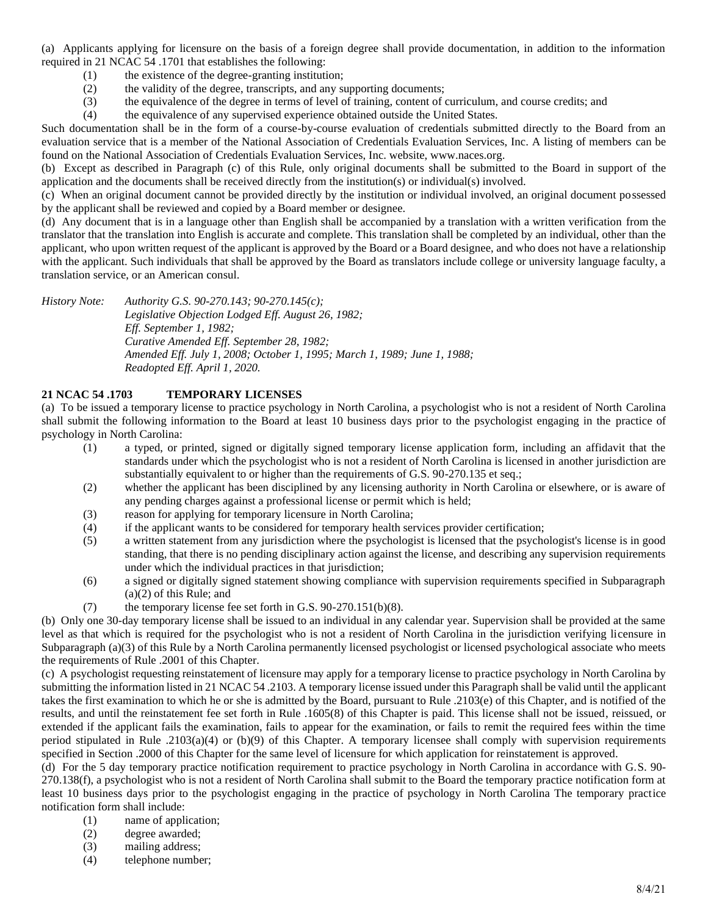(a) Applicants applying for licensure on the basis of a foreign degree shall provide documentation, in addition to the information required in 21 NCAC 54 .1701 that establishes the following:

- (1) the existence of the degree-granting institution;
- (2) the validity of the degree, transcripts, and any supporting documents;
- (3) the equivalence of the degree in terms of level of training, content of curriculum, and course credits; and
- (4) the equivalence of any supervised experience obtained outside the United States.

Such documentation shall be in the form of a course-by-course evaluation of credentials submitted directly to the Board from an evaluation service that is a member of the National Association of Credentials Evaluation Services, Inc. A listing of members can be found on the National Association of Credentials Evaluation Services, Inc. website, www.naces.org.

(b) Except as described in Paragraph (c) of this Rule, only original documents shall be submitted to the Board in support of the application and the documents shall be received directly from the institution(s) or individual(s) involved.

(c) When an original document cannot be provided directly by the institution or individual involved, an original document possessed by the applicant shall be reviewed and copied by a Board member or designee.

(d) Any document that is in a language other than English shall be accompanied by a translation with a written verification from the translator that the translation into English is accurate and complete. This translation shall be completed by an individual, other than the applicant, who upon written request of the applicant is approved by the Board or a Board designee, and who does not have a relationship with the applicant. Such individuals that shall be approved by the Board as translators include college or university language faculty, a translation service, or an American consul.

*History Note: Authority G.S. 90-270.143; 90-270.145(c);*

*Legislative Objection Lodged Eff. August 26, 1982; Eff. September 1, 1982; Curative Amended Eff. September 28, 1982; Amended Eff. July 1, 2008; October 1, 1995; March 1, 1989; June 1, 1988; Readopted Eff. April 1, 2020.*

# **21 NCAC 54 .1703 TEMPORARY LICENSES**

(a) To be issued a temporary license to practice psychology in North Carolina, a psychologist who is not a resident of North Carolina shall submit the following information to the Board at least 10 business days prior to the psychologist engaging in the practice of psychology in North Carolina:

- (1) a typed, or printed, signed or digitally signed temporary license application form, including an affidavit that the standards under which the psychologist who is not a resident of North Carolina is licensed in another jurisdiction are substantially equivalent to or higher than the requirements of G.S. 90-270.135 et seq.;
- (2) whether the applicant has been disciplined by any licensing authority in North Carolina or elsewhere, or is aware of any pending charges against a professional license or permit which is held;
- (3) reason for applying for temporary licensure in North Carolina;
- (4) if the applicant wants to be considered for temporary health services provider certification;
- (5) a written statement from any jurisdiction where the psychologist is licensed that the psychologist's license is in good standing, that there is no pending disciplinary action against the license, and describing any supervision requirements under which the individual practices in that jurisdiction;
- (6) a signed or digitally signed statement showing compliance with supervision requirements specified in Subparagraph (a)(2) of this Rule; and
- (7) the temporary license fee set forth in G.S.  $90-270.151(b)(8)$ .

(b) Only one 30-day temporary license shall be issued to an individual in any calendar year. Supervision shall be provided at the same level as that which is required for the psychologist who is not a resident of North Carolina in the jurisdiction verifying licensure in Subparagraph (a)(3) of this Rule by a North Carolina permanently licensed psychologist or licensed psychological associate who meets the requirements of Rule .2001 of this Chapter.

(c) A psychologist requesting reinstatement of licensure may apply for a temporary license to practice psychology in North Carolina by submitting the information listed in 21 NCAC 54 .2103. A temporary license issued under this Paragraph shall be valid until the applicant takes the first examination to which he or she is admitted by the Board, pursuant to Rule .2103(e) of this Chapter, and is notified of the results, and until the reinstatement fee set forth in Rule .1605(8) of this Chapter is paid. This license shall not be issued, reissued, or extended if the applicant fails the examination, fails to appear for the examination, or fails to remit the required fees within the time period stipulated in Rule .2103(a)(4) or (b)(9) of this Chapter. A temporary licensee shall comply with supervision requirements specified in Section .2000 of this Chapter for the same level of licensure for which application for reinstatement is approved.

(d) For the 5 day temporary practice notification requirement to practice psychology in North Carolina in accordance with G.S. 90- 270.138(f), a psychologist who is not a resident of North Carolina shall submit to the Board the temporary practice notification form at least 10 business days prior to the psychologist engaging in the practice of psychology in North Carolina The temporary practice notification form shall include:

- (1) name of application;
- (2) degree awarded;
- (3) mailing address;
- (4) telephone number;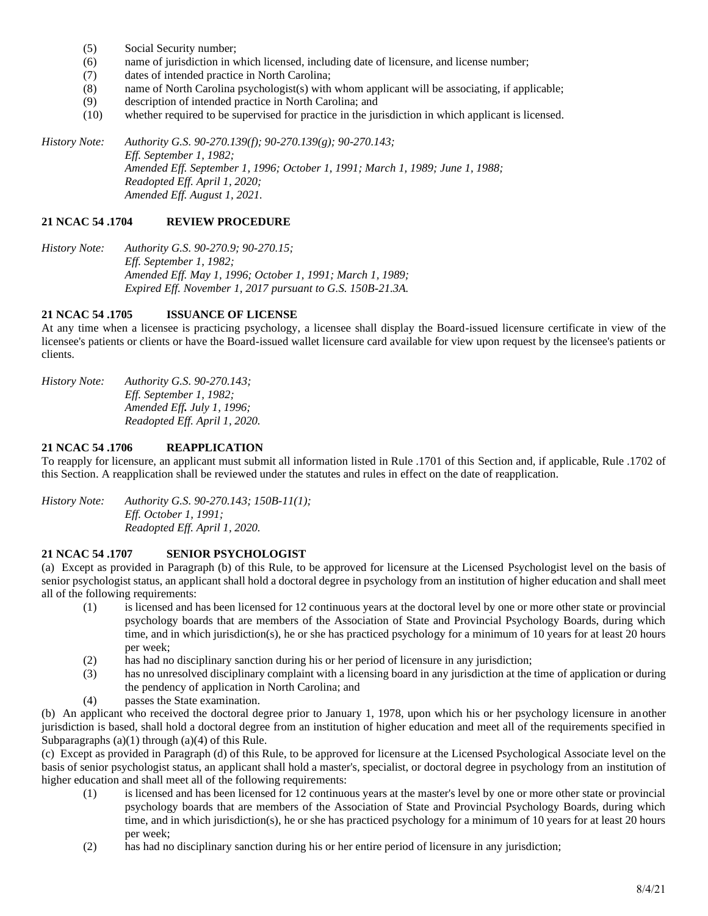- (5) Social Security number;
- (6) name of jurisdiction in which licensed, including date of licensure, and license number;
- (7) dates of intended practice in North Carolina;
- (8) name of North Carolina psychologist(s) with whom applicant will be associating, if applicable;
- (9) description of intended practice in North Carolina; and
- (10) whether required to be supervised for practice in the jurisdiction in which applicant is licensed.

*History Note: Authority G.S. 90-270.139(f); 90-270.139(g); 90-270.143; Eff. September 1, 1982; Amended Eff. September 1, 1996; October 1, 1991; March 1, 1989; June 1, 1988; Readopted Eff. April 1, 2020; Amended Eff. August 1, 2021.*

# **21 NCAC 54 .1704 REVIEW PROCEDURE**

*History Note: Authority G.S. 90-270.9; 90-270.15; Eff. September 1, 1982; Amended Eff. May 1, 1996; October 1, 1991; March 1, 1989; Expired Eff. November 1, 2017 pursuant to G.S. 150B-21.3A.*

# **21 NCAC 54 .1705 ISSUANCE OF LICENSE**

At any time when a licensee is practicing psychology, a licensee shall display the Board-issued licensure certificate in view of the licensee's patients or clients or have the Board-issued wallet licensure card available for view upon request by the licensee's patients or clients.

*History Note: Authority G.S. 90-270.143; Eff. September 1, 1982; Amended Eff. July 1, 1996; Readopted Eff. April 1, 2020.*

# **21 NCAC 54 .1706 REAPPLICATION**

To reapply for licensure, an applicant must submit all information listed in Rule .1701 of this Section and, if applicable, Rule .1702 of this Section. A reapplication shall be reviewed under the statutes and rules in effect on the date of reapplication.

*History Note: Authority G.S. 90-270.143; 150B-11(1); Eff. October 1, 1991; Readopted Eff. April 1, 2020.*

# **21 NCAC 54 .1707 SENIOR PSYCHOLOGIST**

(a) Except as provided in Paragraph (b) of this Rule, to be approved for licensure at the Licensed Psychologist level on the basis of senior psychologist status, an applicant shall hold a doctoral degree in psychology from an institution of higher education and shall meet all of the following requirements:

- (1) is licensed and has been licensed for 12 continuous years at the doctoral level by one or more other state or provincial psychology boards that are members of the Association of State and Provincial Psychology Boards, during which time, and in which jurisdiction(s), he or she has practiced psychology for a minimum of 10 years for at least 20 hours per week;
- (2) has had no disciplinary sanction during his or her period of licensure in any jurisdiction;
- (3) has no unresolved disciplinary complaint with a licensing board in any jurisdiction at the time of application or during the pendency of application in North Carolina; and
- (4) passes the State examination.

(b) An applicant who received the doctoral degree prior to January 1, 1978, upon which his or her psychology licensure in another jurisdiction is based, shall hold a doctoral degree from an institution of higher education and meet all of the requirements specified in Subparagraphs  $(a)(1)$  through  $(a)(4)$  of this Rule.

(c) Except as provided in Paragraph (d) of this Rule, to be approved for licensure at the Licensed Psychological Associate level on the basis of senior psychologist status, an applicant shall hold a master's, specialist, or doctoral degree in psychology from an institution of higher education and shall meet all of the following requirements:

- (1) is licensed and has been licensed for 12 continuous years at the master's level by one or more other state or provincial psychology boards that are members of the Association of State and Provincial Psychology Boards, during which time, and in which jurisdiction(s), he or she has practiced psychology for a minimum of 10 years for at least 20 hours per week;
- (2) has had no disciplinary sanction during his or her entire period of licensure in any jurisdiction;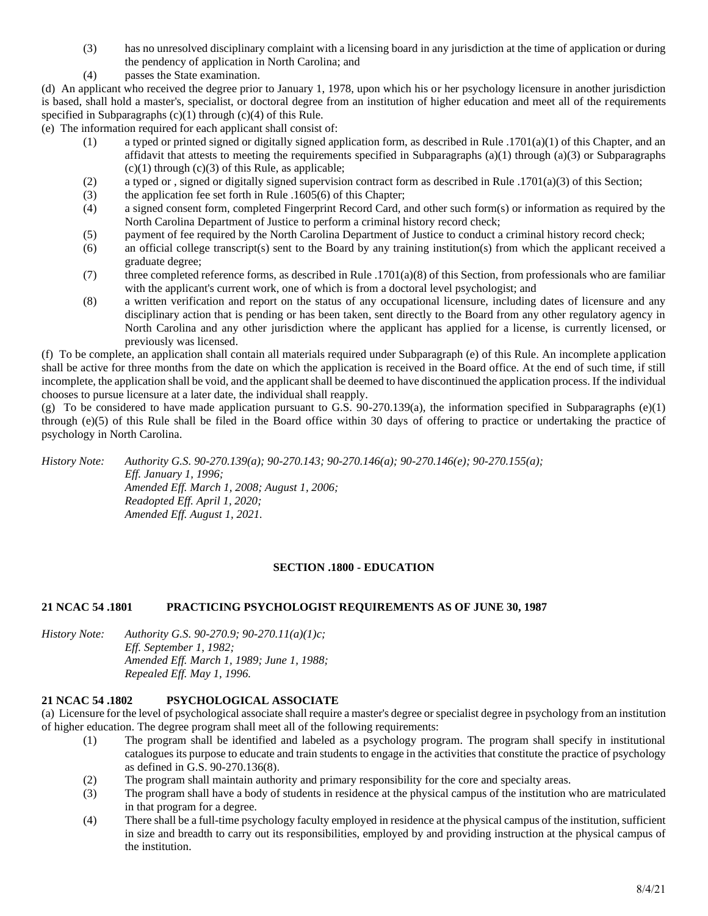- (3) has no unresolved disciplinary complaint with a licensing board in any jurisdiction at the time of application or during the pendency of application in North Carolina; and
- (4) passes the State examination.

(d) An applicant who received the degree prior to January 1, 1978, upon which his or her psychology licensure in another jurisdiction is based, shall hold a master's, specialist, or doctoral degree from an institution of higher education and meet all of the requirements specified in Subparagraphs  $(c)(1)$  through  $(c)(4)$  of this Rule.

(e) The information required for each applicant shall consist of:

- (1) a typed or printed signed or digitally signed application form, as described in Rule .1701(a)(1) of this Chapter, and an affidavit that attests to meeting the requirements specified in Subparagraphs  $(a)(1)$  through  $(a)(3)$  or Subparagraphs  $(c)(1)$  through  $(c)(3)$  of this Rule, as applicable;
- (2) a typed or , signed or digitally signed supervision contract form as described in Rule .1701(a)(3) of this Section;
- (3) the application fee set forth in Rule .1605(6) of this Chapter;
- (4) a signed consent form, completed Fingerprint Record Card, and other such form(s) or information as required by the North Carolina Department of Justice to perform a criminal history record check;
- (5) payment of fee required by the North Carolina Department of Justice to conduct a criminal history record check;
- (6) an official college transcript(s) sent to the Board by any training institution(s) from which the applicant received a graduate degree;
- (7) three completed reference forms, as described in Rule .1701(a)(8) of this Section, from professionals who are familiar with the applicant's current work, one of which is from a doctoral level psychologist; and
- (8) a written verification and report on the status of any occupational licensure, including dates of licensure and any disciplinary action that is pending or has been taken, sent directly to the Board from any other regulatory agency in North Carolina and any other jurisdiction where the applicant has applied for a license, is currently licensed, or previously was licensed.

(f) To be complete, an application shall contain all materials required under Subparagraph (e) of this Rule. An incomplete application shall be active for three months from the date on which the application is received in the Board office. At the end of such time, if still incomplete, the application shall be void, and the applicant shall be deemed to have discontinued the application process. If the individual chooses to pursue licensure at a later date, the individual shall reapply.

(g) To be considered to have made application pursuant to G.S. 90-270.139(a), the information specified in Subparagraphs (e)(1) through (e)(5) of this Rule shall be filed in the Board office within 30 days of offering to practice or undertaking the practice of psychology in North Carolina.

*History Note: Authority G.S. 90-270.139(a); 90-270.143; 90-270.146(a); 90-270.146(e); 90-270.155(a); Eff. January 1, 1996; Amended Eff. March 1, 2008; August 1, 2006; Readopted Eff. April 1, 2020; Amended Eff. August 1, 2021.*

# **SECTION .1800 - EDUCATION**

# **21 NCAC 54 .1801 PRACTICING PSYCHOLOGIST REQUIREMENTS AS OF JUNE 30, 1987**

*History Note: Authority G.S. 90-270.9; 90-270.11(a)(1)c; Eff. September 1, 1982; Amended Eff. March 1, 1989; June 1, 1988; Repealed Eff. May 1, 1996.*

# **21 NCAC 54 .1802 PSYCHOLOGICAL ASSOCIATE**

(a) Licensure for the level of psychological associate shall require a master's degree or specialist degree in psychology from an institution of higher education. The degree program shall meet all of the following requirements:

- (1) The program shall be identified and labeled as a psychology program. The program shall specify in institutional catalogues its purpose to educate and train students to engage in the activities that constitute the practice of psychology as defined in G.S. 90-270.136(8).
- (2) The program shall maintain authority and primary responsibility for the core and specialty areas.
- (3) The program shall have a body of students in residence at the physical campus of the institution who are matriculated in that program for a degree.
- (4) There shall be a full-time psychology faculty employed in residence at the physical campus of the institution, sufficient in size and breadth to carry out its responsibilities, employed by and providing instruction at the physical campus of the institution.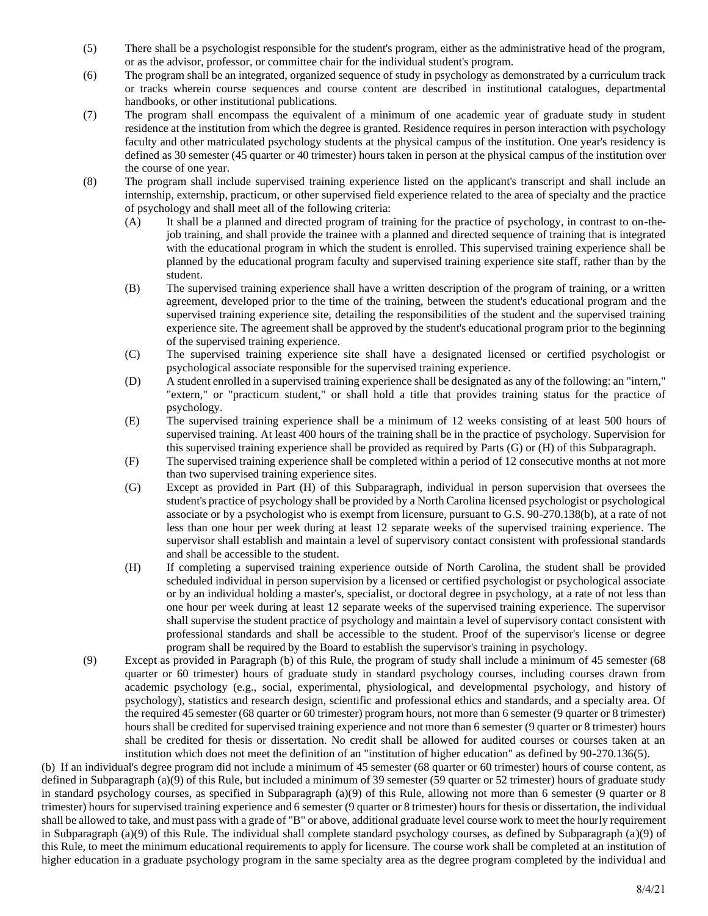- (5) There shall be a psychologist responsible for the student's program, either as the administrative head of the program, or as the advisor, professor, or committee chair for the individual student's program.
- (6) The program shall be an integrated, organized sequence of study in psychology as demonstrated by a curriculum track or tracks wherein course sequences and course content are described in institutional catalogues, departmental handbooks, or other institutional publications.
- (7) The program shall encompass the equivalent of a minimum of one academic year of graduate study in student residence at the institution from which the degree is granted. Residence requires in person interaction with psychology faculty and other matriculated psychology students at the physical campus of the institution. One year's residency is defined as 30 semester (45 quarter or 40 trimester) hours taken in person at the physical campus of the institution over the course of one year.
- (8) The program shall include supervised training experience listed on the applicant's transcript and shall include an internship, externship, practicum, or other supervised field experience related to the area of specialty and the practice of psychology and shall meet all of the following criteria:
	- (A) It shall be a planned and directed program of training for the practice of psychology, in contrast to on-thejob training, and shall provide the trainee with a planned and directed sequence of training that is integrated with the educational program in which the student is enrolled. This supervised training experience shall be planned by the educational program faculty and supervised training experience site staff, rather than by the student.
	- (B) The supervised training experience shall have a written description of the program of training, or a written agreement, developed prior to the time of the training, between the student's educational program and the supervised training experience site, detailing the responsibilities of the student and the supervised training experience site. The agreement shall be approved by the student's educational program prior to the beginning of the supervised training experience.
	- (C) The supervised training experience site shall have a designated licensed or certified psychologist or psychological associate responsible for the supervised training experience.
	- (D) A student enrolled in a supervised training experience shall be designated as any of the following: an "intern," "extern," or "practicum student," or shall hold a title that provides training status for the practice of psychology.
	- (E) The supervised training experience shall be a minimum of 12 weeks consisting of at least 500 hours of supervised training. At least 400 hours of the training shall be in the practice of psychology. Supervision for this supervised training experience shall be provided as required by Parts (G) or (H) of this Subparagraph.
	- (F) The supervised training experience shall be completed within a period of 12 consecutive months at not more than two supervised training experience sites.
	- (G) Except as provided in Part (H) of this Subparagraph, individual in person supervision that oversees the student's practice of psychology shall be provided by a North Carolina licensed psychologist or psychological associate or by a psychologist who is exempt from licensure, pursuant to G.S. 90-270.138(b), at a rate of not less than one hour per week during at least 12 separate weeks of the supervised training experience. The supervisor shall establish and maintain a level of supervisory contact consistent with professional standards and shall be accessible to the student.
	- (H) If completing a supervised training experience outside of North Carolina, the student shall be provided scheduled individual in person supervision by a licensed or certified psychologist or psychological associate or by an individual holding a master's, specialist, or doctoral degree in psychology, at a rate of not less than one hour per week during at least 12 separate weeks of the supervised training experience. The supervisor shall supervise the student practice of psychology and maintain a level of supervisory contact consistent with professional standards and shall be accessible to the student. Proof of the supervisor's license or degree program shall be required by the Board to establish the supervisor's training in psychology.
- (9) Except as provided in Paragraph (b) of this Rule, the program of study shall include a minimum of 45 semester (68 quarter or 60 trimester) hours of graduate study in standard psychology courses, including courses drawn from academic psychology (e.g., social, experimental, physiological, and developmental psychology, and history of psychology), statistics and research design, scientific and professional ethics and standards, and a specialty area. Of the required 45 semester (68 quarter or 60 trimester) program hours, not more than 6 semester (9 quarter or 8 trimester) hours shall be credited for supervised training experience and not more than 6 semester (9 quarter or 8 trimester) hours shall be credited for thesis or dissertation. No credit shall be allowed for audited courses or courses taken at an institution which does not meet the definition of an "institution of higher education" as defined by 90-270.136(5).

(b) If an individual's degree program did not include a minimum of 45 semester (68 quarter or 60 trimester) hours of course content, as defined in Subparagraph (a)(9) of this Rule, but included a minimum of 39 semester (59 quarter or 52 trimester) hours of graduate study in standard psychology courses, as specified in Subparagraph (a)(9) of this Rule, allowing not more than 6 semester (9 quarter or 8 trimester) hours for supervised training experience and 6 semester (9 quarter or 8 trimester) hours for thesis or dissertation, the individual shall be allowed to take, and must pass with a grade of "B" or above, additional graduate level course work to meet the hourly requirement in Subparagraph (a)(9) of this Rule. The individual shall complete standard psychology courses, as defined by Subparagraph (a)(9) of this Rule, to meet the minimum educational requirements to apply for licensure. The course work shall be completed at an institution of higher education in a graduate psychology program in the same specialty area as the degree program completed by the individual and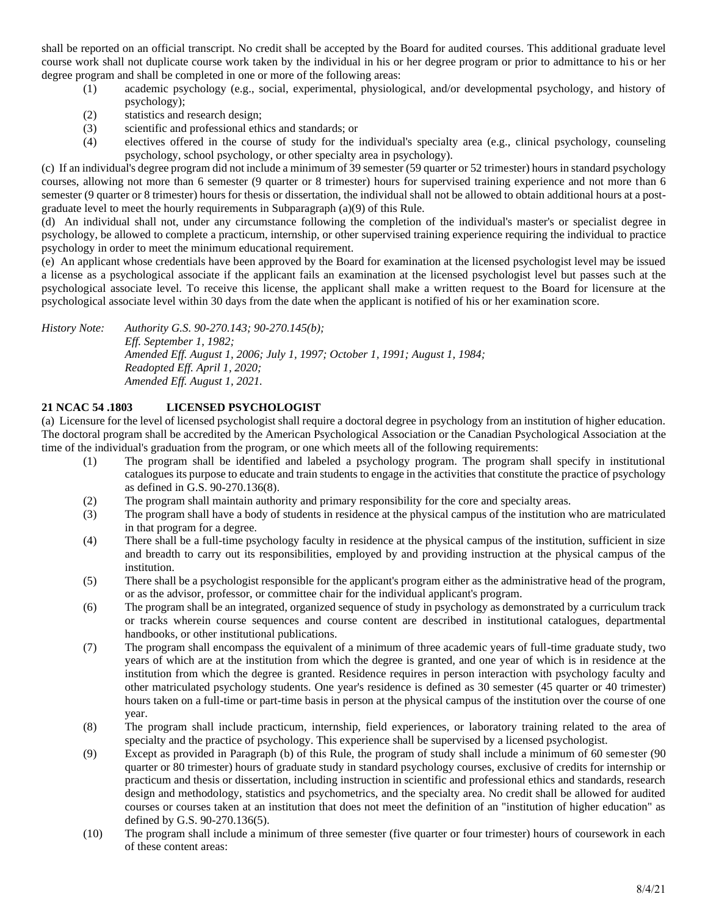shall be reported on an official transcript. No credit shall be accepted by the Board for audited courses. This additional graduate level course work shall not duplicate course work taken by the individual in his or her degree program or prior to admittance to his or her degree program and shall be completed in one or more of the following areas:

- (1) academic psychology (e.g., social, experimental, physiological, and/or developmental psychology, and history of psychology);
- (2) statistics and research design;
- (3) scientific and professional ethics and standards; or
- (4) electives offered in the course of study for the individual's specialty area (e.g., clinical psychology, counseling psychology, school psychology, or other specialty area in psychology).

(c) If an individual's degree program did not include a minimum of 39 semester (59 quarter or 52 trimester) hours in standard psychology courses, allowing not more than 6 semester (9 quarter or 8 trimester) hours for supervised training experience and not more than 6 semester (9 quarter or 8 trimester) hours for thesis or dissertation, the individual shall not be allowed to obtain additional hours at a postgraduate level to meet the hourly requirements in Subparagraph (a)(9) of this Rule.

(d) An individual shall not, under any circumstance following the completion of the individual's master's or specialist degree in psychology, be allowed to complete a practicum, internship, or other supervised training experience requiring the individual to practice psychology in order to meet the minimum educational requirement.

(e) An applicant whose credentials have been approved by the Board for examination at the licensed psychologist level may be issued a license as a psychological associate if the applicant fails an examination at the licensed psychologist level but passes such at the psychological associate level. To receive this license, the applicant shall make a written request to the Board for licensure at the psychological associate level within 30 days from the date when the applicant is notified of his or her examination score.

*History Note: Authority G.S. 90-270.143; 90-270.145(b); Eff. September 1, 1982; Amended Eff. August 1, 2006; July 1, 1997; October 1, 1991; August 1, 1984; Readopted Eff. April 1, 2020; Amended Eff. August 1, 2021.*

# **21 NCAC 54 .1803 LICENSED PSYCHOLOGIST**

(a) Licensure for the level of licensed psychologist shall require a doctoral degree in psychology from an institution of higher education. The doctoral program shall be accredited by the American Psychological Association or the Canadian Psychological Association at the time of the individual's graduation from the program, or one which meets all of the following requirements:

- (1) The program shall be identified and labeled a psychology program. The program shall specify in institutional catalogues its purpose to educate and train students to engage in the activities that constitute the practice of psychology as defined in G.S. 90-270.136(8).
- (2) The program shall maintain authority and primary responsibility for the core and specialty areas.
- (3) The program shall have a body of students in residence at the physical campus of the institution who are matriculated in that program for a degree.
- (4) There shall be a full-time psychology faculty in residence at the physical campus of the institution, sufficient in size and breadth to carry out its responsibilities, employed by and providing instruction at the physical campus of the institution.
- (5) There shall be a psychologist responsible for the applicant's program either as the administrative head of the program, or as the advisor, professor, or committee chair for the individual applicant's program.
- (6) The program shall be an integrated, organized sequence of study in psychology as demonstrated by a curriculum track or tracks wherein course sequences and course content are described in institutional catalogues, departmental handbooks, or other institutional publications.
- (7) The program shall encompass the equivalent of a minimum of three academic years of full-time graduate study, two years of which are at the institution from which the degree is granted, and one year of which is in residence at the institution from which the degree is granted. Residence requires in person interaction with psychology faculty and other matriculated psychology students. One year's residence is defined as 30 semester (45 quarter or 40 trimester) hours taken on a full-time or part-time basis in person at the physical campus of the institution over the course of one year.
- (8) The program shall include practicum, internship, field experiences, or laboratory training related to the area of specialty and the practice of psychology. This experience shall be supervised by a licensed psychologist.
- (9) Except as provided in Paragraph (b) of this Rule, the program of study shall include a minimum of 60 semester (90 quarter or 80 trimester) hours of graduate study in standard psychology courses, exclusive of credits for internship or practicum and thesis or dissertation, including instruction in scientific and professional ethics and standards, research design and methodology, statistics and psychometrics, and the specialty area. No credit shall be allowed for audited courses or courses taken at an institution that does not meet the definition of an "institution of higher education" as defined by G.S. 90-270.136(5).
- (10) The program shall include a minimum of three semester (five quarter or four trimester) hours of coursework in each of these content areas: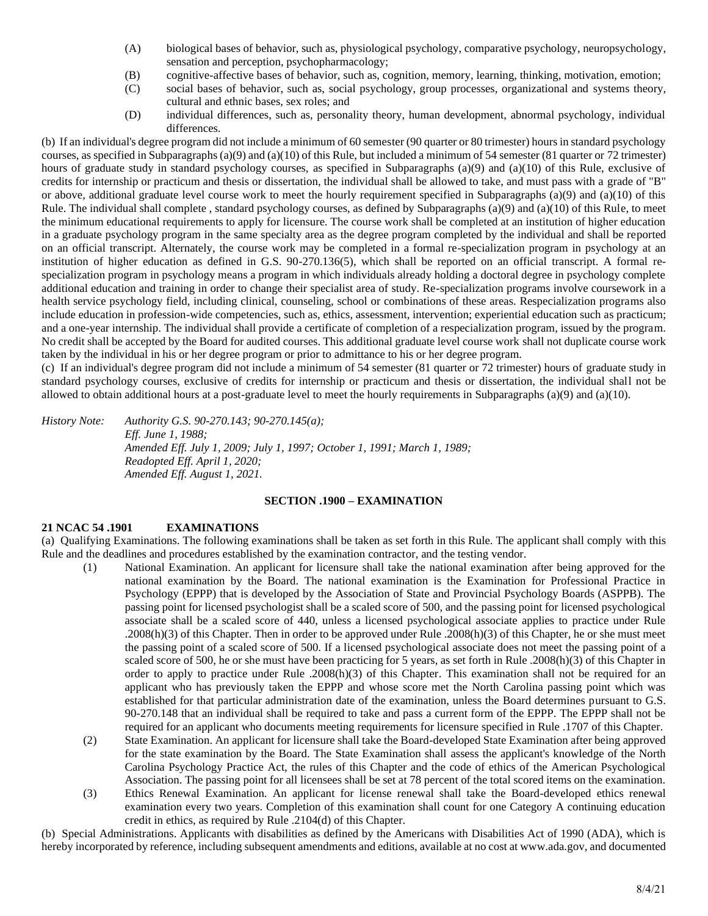- (A) biological bases of behavior, such as, physiological psychology, comparative psychology, neuropsychology, sensation and perception, psychopharmacology;
- (B) cognitive-affective bases of behavior, such as, cognition, memory, learning, thinking, motivation, emotion;
- (C) social bases of behavior, such as, social psychology, group processes, organizational and systems theory, cultural and ethnic bases, sex roles; and
- (D) individual differences, such as, personality theory, human development, abnormal psychology, individual differences.

(b) If an individual's degree program did not include a minimum of 60 semester (90 quarter or 80 trimester) hours in standard psychology courses, as specified in Subparagraphs (a)(9) and (a)(10) of this Rule, but included a minimum of 54 semester (81 quarter or 72 trimester) hours of graduate study in standard psychology courses, as specified in Subparagraphs (a)(9) and (a)(10) of this Rule, exclusive of credits for internship or practicum and thesis or dissertation, the individual shall be allowed to take, and must pass with a grade of "B" or above, additional graduate level course work to meet the hourly requirement specified in Subparagraphs (a)(9) and (a)(10) of this Rule. The individual shall complete , standard psychology courses, as defined by Subparagraphs (a)(9) and (a)(10) of this Rule, to meet the minimum educational requirements to apply for licensure. The course work shall be completed at an institution of higher education in a graduate psychology program in the same specialty area as the degree program completed by the individual and shall be reported on an official transcript. Alternately, the course work may be completed in a formal re-specialization program in psychology at an institution of higher education as defined in G.S. 90-270.136(5), which shall be reported on an official transcript. A formal respecialization program in psychology means a program in which individuals already holding a doctoral degree in psychology complete additional education and training in order to change their specialist area of study. Re-specialization programs involve coursework in a health service psychology field, including clinical, counseling, school or combinations of these areas. Respecialization programs also include education in profession-wide competencies, such as, ethics, assessment, intervention; experiential education such as practicum; and a one-year internship. The individual shall provide a certificate of completion of a respecialization program, issued by the program. No credit shall be accepted by the Board for audited courses. This additional graduate level course work shall not duplicate course work taken by the individual in his or her degree program or prior to admittance to his or her degree program.

(c) If an individual's degree program did not include a minimum of 54 semester (81 quarter or 72 trimester) hours of graduate study in standard psychology courses, exclusive of credits for internship or practicum and thesis or dissertation, the individual shall not be allowed to obtain additional hours at a post-graduate level to meet the hourly requirements in Subparagraphs (a)(9) and (a)(10).

*History Note: Authority G.S. 90-270.143; 90-270.145(a); Eff. June 1, 1988; Amended Eff. July 1, 2009; July 1, 1997; October 1, 1991; March 1, 1989; Readopted Eff. April 1, 2020; Amended Eff. August 1, 2021.*

#### **SECTION .1900 – EXAMINATION**

# **21 NCAC 54 .1901 EXAMINATIONS**

(a) Qualifying Examinations. The following examinations shall be taken as set forth in this Rule. The applicant shall comply with this Rule and the deadlines and procedures established by the examination contractor, and the testing vendor.

- (1) National Examination. An applicant for licensure shall take the national examination after being approved for the national examination by the Board. The national examination is the Examination for Professional Practice in Psychology (EPPP) that is developed by the Association of State and Provincial Psychology Boards (ASPPB). The passing point for licensed psychologist shall be a scaled score of 500, and the passing point for licensed psychological associate shall be a scaled score of 440, unless a licensed psychological associate applies to practice under Rule .2008(h)(3) of this Chapter. Then in order to be approved under Rule .2008(h)(3) of this Chapter, he or she must meet the passing point of a scaled score of 500. If a licensed psychological associate does not meet the passing point of a scaled score of 500, he or she must have been practicing for 5 years, as set forth in Rule .2008(h)(3) of this Chapter in order to apply to practice under Rule .2008(h)(3) of this Chapter. This examination shall not be required for an applicant who has previously taken the EPPP and whose score met the North Carolina passing point which was established for that particular administration date of the examination, unless the Board determines pursuant to G.S. 90-270.148 that an individual shall be required to take and pass a current form of the EPPP. The EPPP shall not be required for an applicant who documents meeting requirements for licensure specified in Rule .1707 of this Chapter.
- (2) State Examination. An applicant for licensure shall take the Board-developed State Examination after being approved for the state examination by the Board. The State Examination shall assess the applicant's knowledge of the North Carolina Psychology Practice Act, the rules of this Chapter and the code of ethics of the American Psychological Association. The passing point for all licensees shall be set at 78 percent of the total scored items on the examination.
- (3) Ethics Renewal Examination. An applicant for license renewal shall take the Board-developed ethics renewal examination every two years. Completion of this examination shall count for one Category A continuing education credit in ethics, as required by Rule .2104(d) of this Chapter.

(b) Special Administrations. Applicants with disabilities as defined by the Americans with Disabilities Act of 1990 (ADA), which is hereby incorporated by reference, including subsequent amendments and editions, available at no cost at www.ada.gov, and documented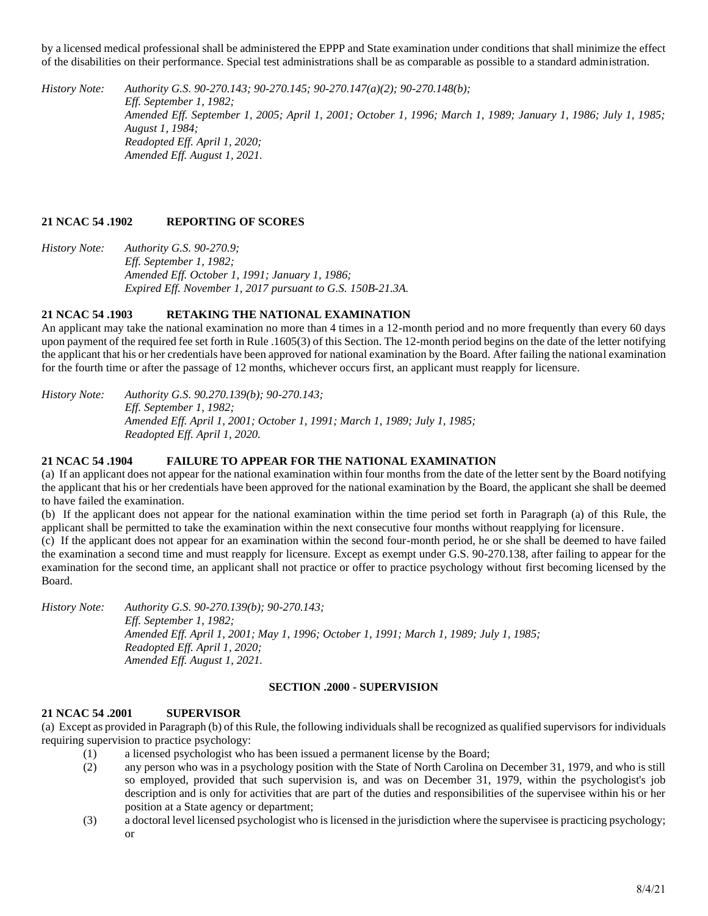by a licensed medical professional shall be administered the EPPP and State examination under conditions that shall minimize the effect of the disabilities on their performance. Special test administrations shall be as comparable as possible to a standard administration.

*History Note: Authority G.S. 90-270.143; 90-270.145; 90-270.147(a)(2); 90-270.148(b); Eff. September 1, 1982; Amended Eff. September 1, 2005; April 1, 2001; October 1, 1996; March 1, 1989; January 1, 1986; July 1, 1985; August 1, 1984; Readopted Eff. April 1, 2020; Amended Eff. August 1, 2021.*

# **21 NCAC 54 .1902 REPORTING OF SCORES**

*History Note: Authority G.S. 90-270.9; Eff. September 1, 1982; Amended Eff. October 1, 1991; January 1, 1986; Expired Eff. November 1, 2017 pursuant to G.S. 150B-21.3A.*

# **21 NCAC 54 .1903 RETAKING THE NATIONAL EXAMINATION**

An applicant may take the national examination no more than 4 times in a 12-month period and no more frequently than every 60 days upon payment of the required fee set forth in Rule .1605(3) of this Section. The 12-month period begins on the date of the letter notifying the applicant that his or her credentials have been approved for national examination by the Board. After failing the national examination for the fourth time or after the passage of 12 months, whichever occurs first, an applicant must reapply for licensure.

*History Note: Authority G.S. 90.270.139(b); 90-270.143; Eff. September 1, 1982; Amended Eff. April 1, 2001; October 1, 1991; March 1, 1989; July 1, 1985; Readopted Eff. April 1, 2020.*

# **21 NCAC 54 .1904 FAILURE TO APPEAR FOR THE NATIONAL EXAMINATION**

(a) If an applicant does not appear for the national examination within four months from the date of the letter sent by the Board notifying the applicant that his or her credentials have been approved for the national examination by the Board, the applicant she shall be deemed to have failed the examination.

(b) If the applicant does not appear for the national examination within the time period set forth in Paragraph (a) of this Rule, the applicant shall be permitted to take the examination within the next consecutive four months without reapplying for licensure.

(c) If the applicant does not appear for an examination within the second four-month period, he or she shall be deemed to have failed the examination a second time and must reapply for licensure. Except as exempt under G.S. 90-270.138, after failing to appear for the examination for the second time, an applicant shall not practice or offer to practice psychology without first becoming licensed by the Board.

*History Note: Authority G.S. 90-270.139(b); 90-270.143; Eff. September 1, 1982; Amended Eff. April 1, 2001; May 1, 1996; October 1, 1991; March 1, 1989; July 1, 1985; Readopted Eff. April 1, 2020; Amended Eff. August 1, 2021.*

# **SECTION .2000 - SUPERVISION**

# **21 NCAC 54 .2001 SUPERVISOR**

(a) Except as provided in Paragraph (b) of this Rule, the following individuals shall be recognized as qualified supervisors for individuals requiring supervision to practice psychology:

- (1) a licensed psychologist who has been issued a permanent license by the Board;
- (2) any person who was in a psychology position with the State of North Carolina on December 31, 1979, and who is still so employed, provided that such supervision is, and was on December 31, 1979, within the psychologist's job description and is only for activities that are part of the duties and responsibilities of the supervisee within his or her position at a State agency or department;
- (3) a doctoral level licensed psychologist who is licensed in the jurisdiction where the supervisee is practicing psychology; or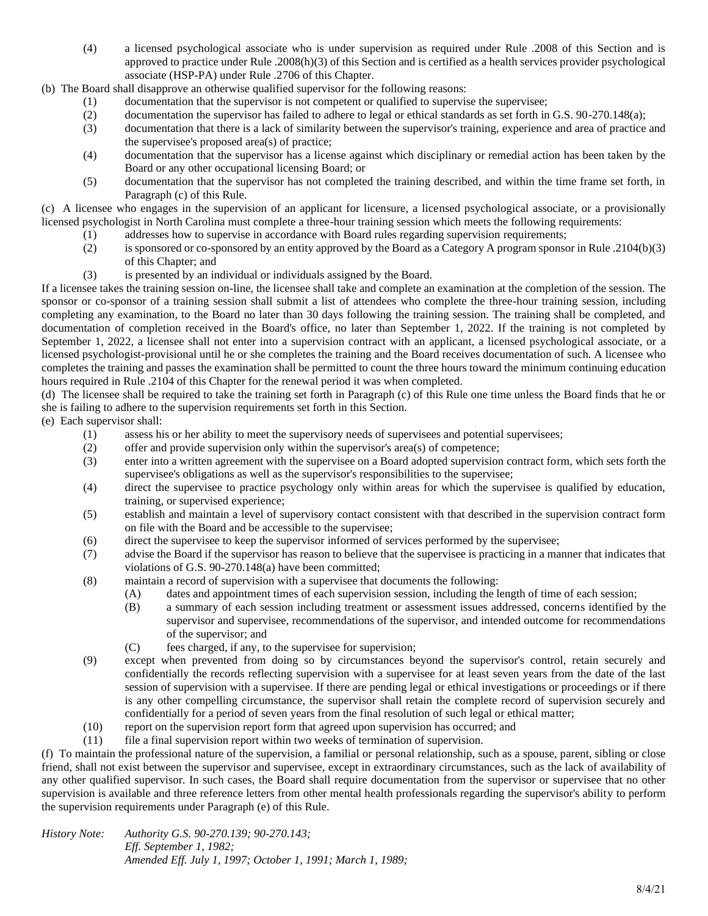(4) a licensed psychological associate who is under supervision as required under Rule .2008 of this Section and is approved to practice under Rule .2008(h)(3) of this Section and is certified as a health services provider psychological associate (HSP-PA) under Rule .2706 of this Chapter.

(b) The Board shall disapprove an otherwise qualified supervisor for the following reasons:

- (1) documentation that the supervisor is not competent or qualified to supervise the supervisee;<br>(2) documentation the supervisor has failed to adhere to legal or ethical standards as set forth in
- documentation the supervisor has failed to adhere to legal or ethical standards as set forth in G.S. 90-270.148(a);
- (3) documentation that there is a lack of similarity between the supervisor's training, experience and area of practice and the supervisee's proposed area(s) of practice;
- (4) documentation that the supervisor has a license against which disciplinary or remedial action has been taken by the Board or any other occupational licensing Board; or
- (5) documentation that the supervisor has not completed the training described, and within the time frame set forth, in Paragraph (c) of this Rule.

(c) A licensee who engages in the supervision of an applicant for licensure, a licensed psychological associate, or a provisionally licensed psychologist in North Carolina must complete a three-hour training session which meets the following requirements:

- (1) addresses how to supervise in accordance with Board rules regarding supervision requirements;
- (2) is sponsored or co-sponsored by an entity approved by the Board as a Category A program sponsor in Rule .2104(b)(3) of this Chapter; and
- (3) is presented by an individual or individuals assigned by the Board.

If a licensee takes the training session on-line, the licensee shall take and complete an examination at the completion of the session. The sponsor or co-sponsor of a training session shall submit a list of attendees who complete the three-hour training session, including completing any examination, to the Board no later than 30 days following the training session. The training shall be completed, and documentation of completion received in the Board's office, no later than September 1, 2022. If the training is not completed by September 1, 2022, a licensee shall not enter into a supervision contract with an applicant, a licensed psychological associate, or a licensed psychologist-provisional until he or she completes the training and the Board receives documentation of such. A licensee who completes the training and passes the examination shall be permitted to count the three hours toward the minimum continuing education hours required in Rule .2104 of this Chapter for the renewal period it was when completed.

(d) The licensee shall be required to take the training set forth in Paragraph (c) of this Rule one time unless the Board finds that he or she is failing to adhere to the supervision requirements set forth in this Section.

- (e) Each supervisor shall:
	- (1) assess his or her ability to meet the supervisory needs of supervisees and potential supervisees;
	- (2) offer and provide supervision only within the supervisor's area(s) of competence;
	- (3) enter into a written agreement with the supervisee on a Board adopted supervision contract form, which sets forth the supervisee's obligations as well as the supervisor's responsibilities to the supervisee;
	- (4) direct the supervisee to practice psychology only within areas for which the supervisee is qualified by education, training, or supervised experience;
	- (5) establish and maintain a level of supervisory contact consistent with that described in the supervision contract form on file with the Board and be accessible to the supervisee;
	- (6) direct the supervisee to keep the supervisor informed of services performed by the supervisee;
	- (7) advise the Board if the supervisor has reason to believe that the supervisee is practicing in a manner that indicates that violations of G.S. 90-270.148(a) have been committed;
	- (8) maintain a record of supervision with a supervisee that documents the following:
		- (A) dates and appointment times of each supervision session, including the length of time of each session;
		- (B) a summary of each session including treatment or assessment issues addressed, concerns identified by the supervisor and supervisee, recommendations of the supervisor, and intended outcome for recommendations of the supervisor; and
		- (C) fees charged, if any, to the supervisee for supervision;
	- (9) except when prevented from doing so by circumstances beyond the supervisor's control, retain securely and confidentially the records reflecting supervision with a supervisee for at least seven years from the date of the last session of supervision with a supervisee. If there are pending legal or ethical investigations or proceedings or if there is any other compelling circumstance, the supervisor shall retain the complete record of supervision securely and confidentially for a period of seven years from the final resolution of such legal or ethical matter;
	- (10) report on the supervision report form that agreed upon supervision has occurred; and
	- (11) file a final supervision report within two weeks of termination of supervision.

(f) To maintain the professional nature of the supervision, a familial or personal relationship, such as a spouse, parent, sibling or close friend, shall not exist between the supervisor and supervisee, except in extraordinary circumstances, such as the lack of availability of any other qualified supervisor. In such cases, the Board shall require documentation from the supervisor or supervisee that no other supervision is available and three reference letters from other mental health professionals regarding the supervisor's ability to perform the supervision requirements under Paragraph (e) of this Rule.

*History Note: Authority G.S. 90-270.139; 90-270.143; Eff. September 1, 1982; Amended Eff. July 1, 1997; October 1, 1991; March 1, 1989;*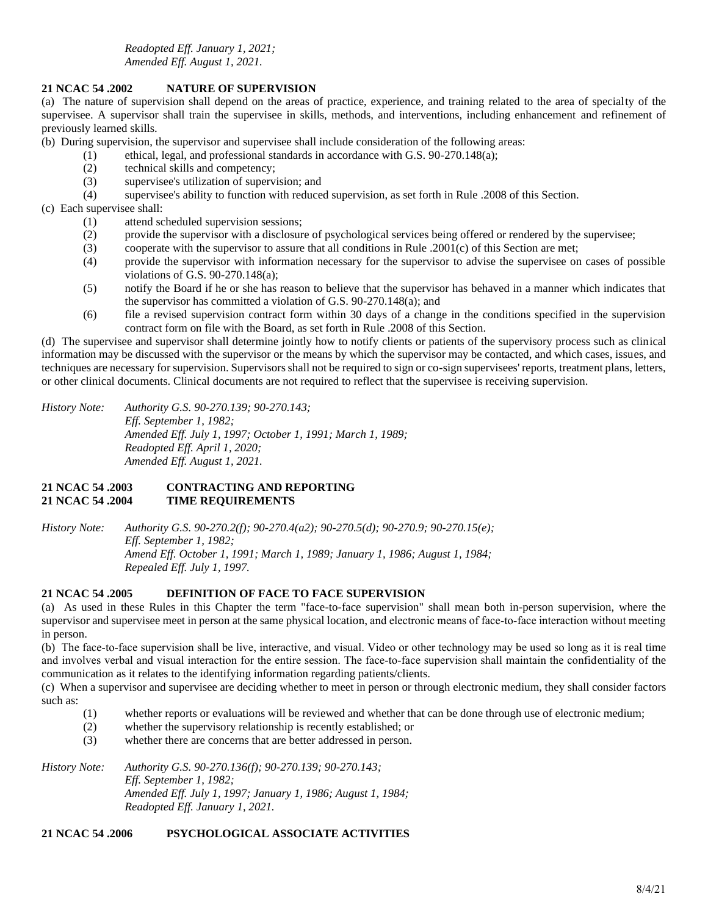*Readopted Eff. January 1, 2021; Amended Eff. August 1, 2021.*

### **21 NCAC 54 .2002 NATURE OF SUPERVISION**

(a) The nature of supervision shall depend on the areas of practice, experience, and training related to the area of specialty of the supervisee. A supervisor shall train the supervisee in skills, methods, and interventions, including enhancement and refinement of previously learned skills.

(b) During supervision, the supervisor and supervisee shall include consideration of the following areas:

- (1) ethical, legal, and professional standards in accordance with G.S. 90-270.148(a);
- (2) technical skills and competency;
- (3) supervisee's utilization of supervision; and
- (4) supervisee's ability to function with reduced supervision, as set forth in Rule .2008 of this Section.

# (c) Each supervisee shall:

- (1) attend scheduled supervision sessions;
- (2) provide the supervisor with a disclosure of psychological services being offered or rendered by the supervisee;
- (3) cooperate with the supervisor to assure that all conditions in Rule .2001(c) of this Section are met;
- (4) provide the supervisor with information necessary for the supervisor to advise the supervisee on cases of possible violations of G.S. 90-270.148(a);
- (5) notify the Board if he or she has reason to believe that the supervisor has behaved in a manner which indicates that the supervisor has committed a violation of G.S. 90-270.148(a); and
- (6) file a revised supervision contract form within 30 days of a change in the conditions specified in the supervision contract form on file with the Board, as set forth in Rule .2008 of this Section.

(d) The supervisee and supervisor shall determine jointly how to notify clients or patients of the supervisory process such as clinical information may be discussed with the supervisor or the means by which the supervisor may be contacted, and which cases, issues, and techniques are necessary for supervision. Supervisors shall not be required to sign or co-sign supervisees' reports, treatment plans, letters, or other clinical documents. Clinical documents are not required to reflect that the supervisee is receiving supervision.

*History Note: Authority G.S. 90-270.139; 90-270.143; Eff. September 1, 1982; Amended Eff. July 1, 1997; October 1, 1991; March 1, 1989; Readopted Eff. April 1, 2020; Amended Eff. August 1, 2021.*

# **21 NCAC 54 .2003 CONTRACTING AND REPORTING 21 NCAC 54 .2004 TIME REQUIREMENTS**

*History Note: Authority G.S. 90-270.2(f); 90-270.4(a2); 90-270.5(d); 90-270.9; 90-270.15(e); Eff. September 1, 1982; Amend Eff. October 1, 1991; March 1, 1989; January 1, 1986; August 1, 1984; Repealed Eff. July 1, 1997.*

# **21 NCAC 54 .2005 DEFINITION OF FACE TO FACE SUPERVISION**

(a) As used in these Rules in this Chapter the term "face-to-face supervision" shall mean both in-person supervision, where the supervisor and supervisee meet in person at the same physical location, and electronic means of face-to-face interaction without meeting in person.

(b) The face‐to‐face supervision shall be live, interactive, and visual. Video or other technology may be used so long as it is real time and involves verbal and visual interaction for the entire session. The face‐to‐face supervision shall maintain the confidentiality of the communication as it relates to the identifying information regarding patients/clients.

(c) When a supervisor and supervisee are deciding whether to meet in person or through electronic medium, they shall consider factors such as:

- (1) whether reports or evaluations will be reviewed and whether that can be done through use of electronic medium;
- (2) whether the supervisory relationship is recently established; or
- (3) whether there are concerns that are better addressed in person.

*History Note: Authority G.S. 90-270.136(f); 90-270.139; 90-270.143; Eff. September 1, 1982; Amended Eff. July 1, 1997; January 1, 1986; August 1, 1984; Readopted Eff. January 1, 2021.*

# **21 NCAC 54 .2006 PSYCHOLOGICAL ASSOCIATE ACTIVITIES**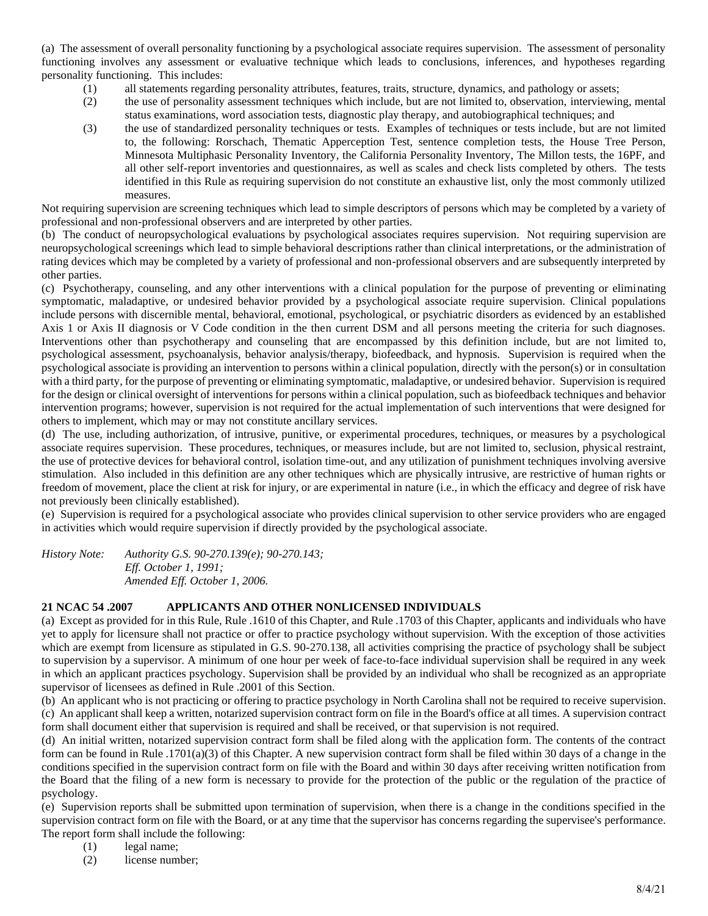(a) The assessment of overall personality functioning by a psychological associate requires supervision. The assessment of personality functioning involves any assessment or evaluative technique which leads to conclusions, inferences, and hypotheses regarding personality functioning. This includes:

- (1) all statements regarding personality attributes, features, traits, structure, dynamics, and pathology or assets;
- (2) the use of personality assessment techniques which include, but are not limited to, observation, interviewing, mental status examinations, word association tests, diagnostic play therapy, and autobiographical techniques; and
- (3) the use of standardized personality techniques or tests. Examples of techniques or tests include, but are not limited to, the following: Rorschach, Thematic Apperception Test, sentence completion tests, the House Tree Person, Minnesota Multiphasic Personality Inventory, the California Personality Inventory, The Millon tests, the 16PF, and all other self-report inventories and questionnaires, as well as scales and check lists completed by others. The tests identified in this Rule as requiring supervision do not constitute an exhaustive list, only the most commonly utilized measures.

Not requiring supervision are screening techniques which lead to simple descriptors of persons which may be completed by a variety of professional and non-professional observers and are interpreted by other parties.

(b) The conduct of neuropsychological evaluations by psychological associates requires supervision. Not requiring supervision are neuropsychological screenings which lead to simple behavioral descriptions rather than clinical interpretations, or the administration of rating devices which may be completed by a variety of professional and non-professional observers and are subsequently interpreted by other parties.

(c) Psychotherapy, counseling, and any other interventions with a clinical population for the purpose of preventing or eliminating symptomatic, maladaptive, or undesired behavior provided by a psychological associate require supervision. Clinical populations include persons with discernible mental, behavioral, emotional, psychological, or psychiatric disorders as evidenced by an established Axis 1 or Axis II diagnosis or V Code condition in the then current DSM and all persons meeting the criteria for such diagnoses. Interventions other than psychotherapy and counseling that are encompassed by this definition include, but are not limited to, psychological assessment, psychoanalysis, behavior analysis/therapy, biofeedback, and hypnosis. Supervision is required when the psychological associate is providing an intervention to persons within a clinical population, directly with the person(s) or in consultation with a third party, for the purpose of preventing or eliminating symptomatic, maladaptive, or undesired behavior. Supervision is required for the design or clinical oversight of interventions for persons within a clinical population, such as biofeedback techniques and behavior intervention programs; however, supervision is not required for the actual implementation of such interventions that were designed for others to implement, which may or may not constitute ancillary services.

(d) The use, including authorization, of intrusive, punitive, or experimental procedures, techniques, or measures by a psychological associate requires supervision. These procedures, techniques, or measures include, but are not limited to, seclusion, physical restraint, the use of protective devices for behavioral control, isolation time-out, and any utilization of punishment techniques involving aversive stimulation. Also included in this definition are any other techniques which are physically intrusive, are restrictive of human rights or freedom of movement, place the client at risk for injury, or are experimental in nature (i.e., in which the efficacy and degree of risk have not previously been clinically established).

(e) Supervision is required for a psychological associate who provides clinical supervision to other service providers who are engaged in activities which would require supervision if directly provided by the psychological associate.

*History Note: Authority G.S. 90-270.139(e); 90-270.143; Eff. October 1, 1991; Amended Eff. October 1, 2006.*

# **21 NCAC 54 .2007 APPLICANTS AND OTHER NONLICENSED INDIVIDUALS**

(a) Except as provided for in this Rule, Rule .1610 of this Chapter, and Rule .1703 of this Chapter, applicants and individuals who have yet to apply for licensure shall not practice or offer to practice psychology without supervision. With the exception of those activities which are exempt from licensure as stipulated in G.S. 90-270.138, all activities comprising the practice of psychology shall be subject to supervision by a supervisor. A minimum of one hour per week of face-to-face individual supervision shall be required in any week in which an applicant practices psychology. Supervision shall be provided by an individual who shall be recognized as an appropriate supervisor of licensees as defined in Rule .2001 of this Section.

(b) An applicant who is not practicing or offering to practice psychology in North Carolina shall not be required to receive supervision. (c) An applicant shall keep a written, notarized supervision contract form on file in the Board's office at all times. A supervision contract form shall document either that supervision is required and shall be received, or that supervision is not required.

(d) An initial written, notarized supervision contract form shall be filed along with the application form. The contents of the contract form can be found in Rule .1701(a)(3) of this Chapter. A new supervision contract form shall be filed within 30 days of a change in the conditions specified in the supervision contract form on file with the Board and within 30 days after receiving written notification from the Board that the filing of a new form is necessary to provide for the protection of the public or the regulation of the practice of psychology.

(e) Supervision reports shall be submitted upon termination of supervision, when there is a change in the conditions specified in the supervision contract form on file with the Board, or at any time that the supervisor has concerns regarding the supervisee's performance. The report form shall include the following:

- (1) legal name;
- (2) license number;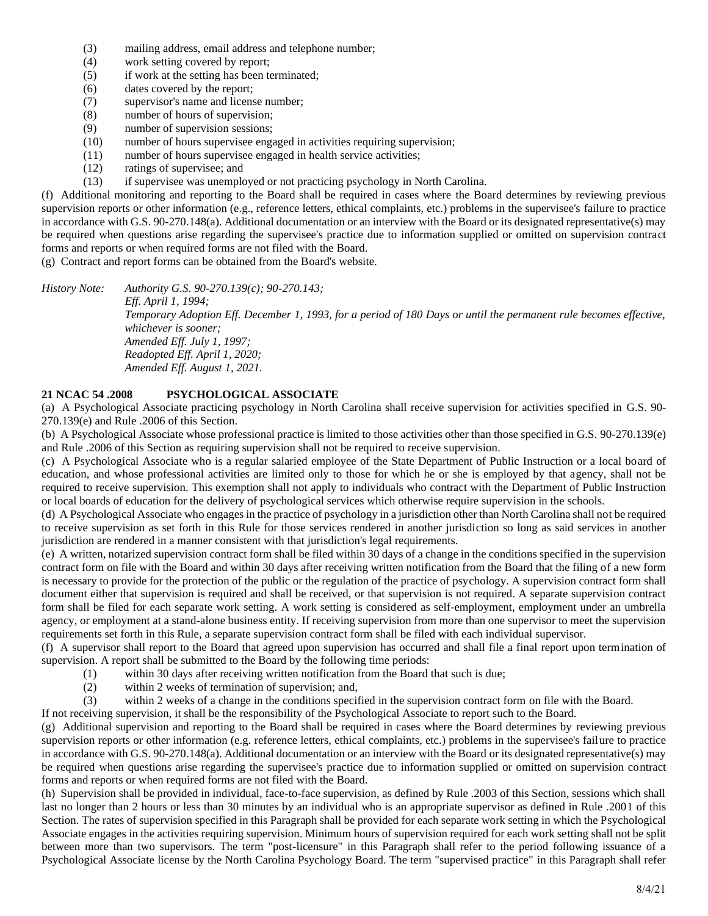- (3) mailing address, email address and telephone number;
- (4) work setting covered by report;
- (5) if work at the setting has been terminated;
- (6) dates covered by the report;
- (7) supervisor's name and license number;
- (8) number of hours of supervision;
- (9) number of supervision sessions;
- (10) number of hours supervisee engaged in activities requiring supervision;
- (11) number of hours supervisee engaged in health service activities;
- (12) ratings of supervisee; and
- (13) if supervisee was unemployed or not practicing psychology in North Carolina.

(f) Additional monitoring and reporting to the Board shall be required in cases where the Board determines by reviewing previous supervision reports or other information (e.g., reference letters, ethical complaints, etc.) problems in the supervisee's failure to practice in accordance with G.S. 90-270.148(a). Additional documentation or an interview with the Board or its designated representative(s) may be required when questions arise regarding the supervisee's practice due to information supplied or omitted on supervision contract forms and reports or when required forms are not filed with the Board.

(g) Contract and report forms can be obtained from the Board's website.

*History Note: Authority G.S. 90-270.139(c); 90-270.143; Eff. April 1, 1994; Temporary Adoption Eff. December 1, 1993, for a period of 180 Days or until the permanent rule becomes effective, whichever is sooner; Amended Eff. July 1, 1997; Readopted Eff. April 1, 2020; Amended Eff. August 1, 2021.*

# **21 NCAC 54 .2008 PSYCHOLOGICAL ASSOCIATE**

(a) A Psychological Associate practicing psychology in North Carolina shall receive supervision for activities specified in G.S. 90- 270.139(e) and Rule .2006 of this Section.

(b) A Psychological Associate whose professional practice is limited to those activities other than those specified in G.S. 90-270.139(e) and Rule .2006 of this Section as requiring supervision shall not be required to receive supervision.

(c) A Psychological Associate who is a regular salaried employee of the State Department of Public Instruction or a local board of education, and whose professional activities are limited only to those for which he or she is employed by that agency, shall not be required to receive supervision. This exemption shall not apply to individuals who contract with the Department of Public Instruction or local boards of education for the delivery of psychological services which otherwise require supervision in the schools.

(d) A Psychological Associate who engages in the practice of psychology in a jurisdiction other than North Carolina shall not be required to receive supervision as set forth in this Rule for those services rendered in another jurisdiction so long as said services in another jurisdiction are rendered in a manner consistent with that jurisdiction's legal requirements.

(e) A written, notarized supervision contract form shall be filed within 30 days of a change in the conditions specified in the supervision contract form on file with the Board and within 30 days after receiving written notification from the Board that the filing of a new form is necessary to provide for the protection of the public or the regulation of the practice of psychology. A supervision contract form shall document either that supervision is required and shall be received, or that supervision is not required. A separate supervision contract form shall be filed for each separate work setting. A work setting is considered as self-employment, employment under an umbrella agency, or employment at a stand-alone business entity. If receiving supervision from more than one supervisor to meet the supervision requirements set forth in this Rule, a separate supervision contract form shall be filed with each individual supervisor.

(f) A supervisor shall report to the Board that agreed upon supervision has occurred and shall file a final report upon termination of supervision. A report shall be submitted to the Board by the following time periods:

- (1) within 30 days after receiving written notification from the Board that such is due;
- (2) within 2 weeks of termination of supervision; and,
- (3) within 2 weeks of a change in the conditions specified in the supervision contract form on file with the Board.

If not receiving supervision, it shall be the responsibility of the Psychological Associate to report such to the Board.

(g) Additional supervision and reporting to the Board shall be required in cases where the Board determines by reviewing previous supervision reports or other information (e.g. reference letters, ethical complaints, etc.) problems in the supervisee's failure to practice in accordance with G.S. 90-270.148(a). Additional documentation or an interview with the Board or its designated representative(s) may be required when questions arise regarding the supervisee's practice due to information supplied or omitted on supervision contract forms and reports or when required forms are not filed with the Board.

(h) Supervision shall be provided in individual, face-to-face supervision, as defined by Rule .2003 of this Section, sessions which shall last no longer than 2 hours or less than 30 minutes by an individual who is an appropriate supervisor as defined in Rule .2001 of this Section. The rates of supervision specified in this Paragraph shall be provided for each separate work setting in which the Psychological Associate engages in the activities requiring supervision. Minimum hours of supervision required for each work setting shall not be split between more than two supervisors. The term "post-licensure" in this Paragraph shall refer to the period following issuance of a Psychological Associate license by the North Carolina Psychology Board. The term "supervised practice" in this Paragraph shall refer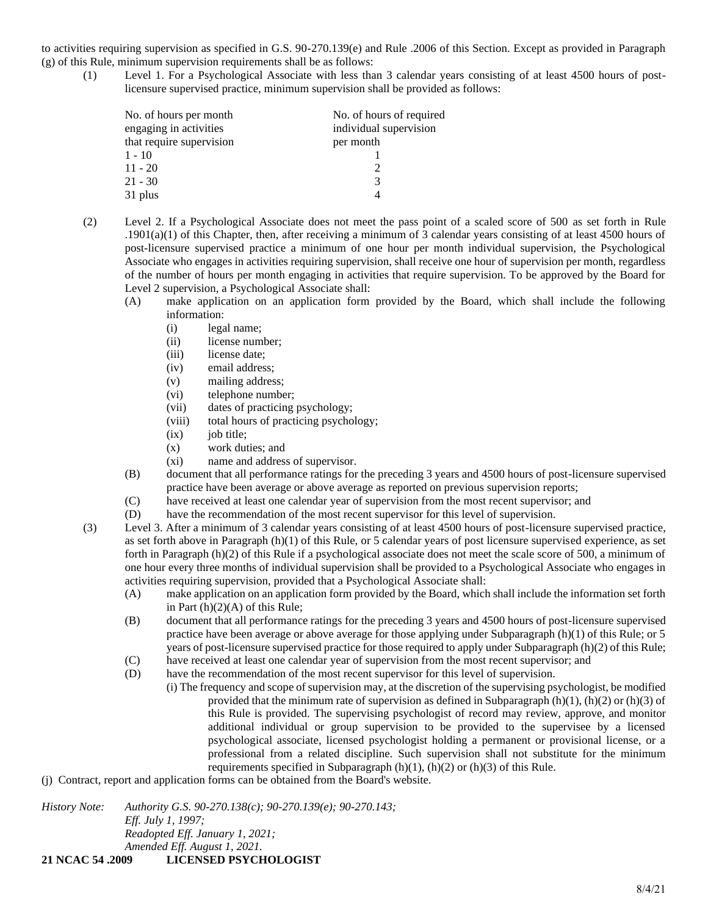to activities requiring supervision as specified in G.S. 90-270.139(e) and Rule .2006 of this Section. Except as provided in Paragraph (g) of this Rule, minimum supervision requirements shall be as follows:

(1) Level 1. For a Psychological Associate with less than 3 calendar years consisting of at least 4500 hours of postlicensure supervised practice, minimum supervision shall be provided as follows:

| No. of hours per month   | No. of hours of required |
|--------------------------|--------------------------|
| engaging in activities   | individual supervision   |
| that require supervision | per month                |
| $1 - 10$                 |                          |
| $11 - 20$                |                          |
| 21 - 30                  | 3                        |
| 31 plus                  |                          |

- (2) Level 2. If a Psychological Associate does not meet the pass point of a scaled score of 500 as set forth in Rule  $.1901(a)(1)$  of this Chapter, then, after receiving a minimum of 3 calendar years consisting of at least 4500 hours of post-licensure supervised practice a minimum of one hour per month individual supervision, the Psychological Associate who engages in activities requiring supervision, shall receive one hour of supervision per month, regardless of the number of hours per month engaging in activities that require supervision. To be approved by the Board for Level 2 supervision, a Psychological Associate shall:
	- (A) make application on an application form provided by the Board, which shall include the following information:
		- (i) legal name;
		- (ii) license number;
		- (iii) license date;
		- (iv) email address;
		- (v) mailing address;
		- (vi) telephone number;
		- (vii) dates of practicing psychology;
		- (viii) total hours of practicing psychology;
		- $(ix)$  job title;
		- (x) work duties; and
		- (xi) name and address of supervisor.
	- (B) document that all performance ratings for the preceding 3 years and 4500 hours of post-licensure supervised practice have been average or above average as reported on previous supervision reports;
	- (C) have received at least one calendar year of supervision from the most recent supervisor; and
	- (D) have the recommendation of the most recent supervisor for this level of supervision.
- (3) Level 3. After a minimum of 3 calendar years consisting of at least 4500 hours of post-licensure supervised practice, as set forth above in Paragraph (h)(1) of this Rule, or 5 calendar years of post licensure supervised experience, as set forth in Paragraph (h)(2) of this Rule if a psychological associate does not meet the scale score of 500, a minimum of one hour every three months of individual supervision shall be provided to a Psychological Associate who engages in activities requiring supervision, provided that a Psychological Associate shall:
	- (A) make application on an application form provided by the Board, which shall include the information set forth in Part  $(h)(2)(A)$  of this Rule;
	- (B) document that all performance ratings for the preceding 3 years and 4500 hours of post-licensure supervised practice have been average or above average for those applying under Subparagraph (h)(1) of this Rule; or 5 years of post-licensure supervised practice for those required to apply under Subparagraph (h)(2) of this Rule;
	- (C) have received at least one calendar year of supervision from the most recent supervisor; and
	- (D) have the recommendation of the most recent supervisor for this level of supervision.
		- (i) The frequency and scope of supervision may, at the discretion of the supervising psychologist, be modified provided that the minimum rate of supervision as defined in Subparagraph  $(h)(1)$ ,  $(h)(2)$  or  $(h)(3)$  of this Rule is provided. The supervising psychologist of record may review, approve, and monitor additional individual or group supervision to be provided to the supervisee by a licensed psychological associate, licensed psychologist holding a permanent or provisional license, or a professional from a related discipline. Such supervision shall not substitute for the minimum requirements specified in Subparagraph  $(h)(1)$ ,  $(h)(2)$  or  $(h)(3)$  of this Rule.
- (j) Contract, report and application forms can be obtained from the Board's website.

*History Note: Authority G.S. 90-270.138(c); 90-270.139(e); 90-270.143; Eff. July 1, 1997; Readopted Eff. January 1, 2021; Amended Eff. August 1, 2021.*

**21 NCAC 54 .2009 LICENSED PSYCHOLOGIST**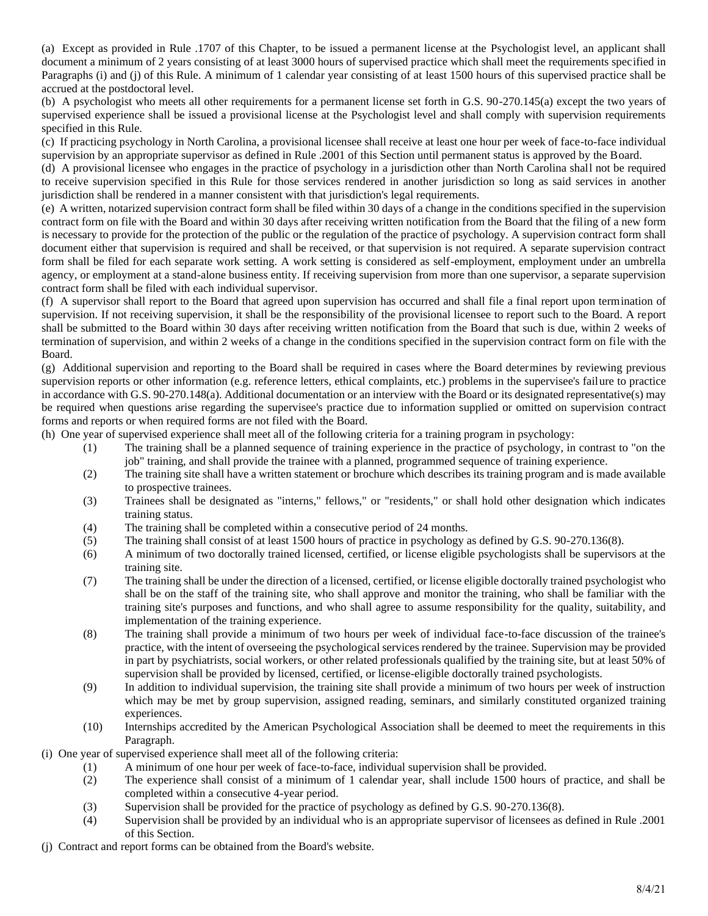(a) Except as provided in Rule .1707 of this Chapter, to be issued a permanent license at the Psychologist level, an applicant shall document a minimum of 2 years consisting of at least 3000 hours of supervised practice which shall meet the requirements specified in Paragraphs (i) and (j) of this Rule. A minimum of 1 calendar year consisting of at least 1500 hours of this supervised practice shall be accrued at the postdoctoral level.

(b) A psychologist who meets all other requirements for a permanent license set forth in G.S. 90-270.145(a) except the two years of supervised experience shall be issued a provisional license at the Psychologist level and shall comply with supervision requirements specified in this Rule.

(c) If practicing psychology in North Carolina, a provisional licensee shall receive at least one hour per week of face-to-face individual supervision by an appropriate supervisor as defined in Rule .2001 of this Section until permanent status is approved by the Board.

(d) A provisional licensee who engages in the practice of psychology in a jurisdiction other than North Carolina shall not be required to receive supervision specified in this Rule for those services rendered in another jurisdiction so long as said services in another jurisdiction shall be rendered in a manner consistent with that jurisdiction's legal requirements.

(e) A written, notarized supervision contract form shall be filed within 30 days of a change in the conditions specified in the supervision contract form on file with the Board and within 30 days after receiving written notification from the Board that the filing of a new form is necessary to provide for the protection of the public or the regulation of the practice of psychology. A supervision contract form shall document either that supervision is required and shall be received, or that supervision is not required. A separate supervision contract form shall be filed for each separate work setting. A work setting is considered as self-employment, employment under an umbrella agency, or employment at a stand-alone business entity. If receiving supervision from more than one supervisor, a separate supervision contract form shall be filed with each individual supervisor.

(f) A supervisor shall report to the Board that agreed upon supervision has occurred and shall file a final report upon termination of supervision. If not receiving supervision, it shall be the responsibility of the provisional licensee to report such to the Board. A report shall be submitted to the Board within 30 days after receiving written notification from the Board that such is due, within 2 weeks of termination of supervision, and within 2 weeks of a change in the conditions specified in the supervision contract form on file with the Board.

(g) Additional supervision and reporting to the Board shall be required in cases where the Board determines by reviewing previous supervision reports or other information (e.g. reference letters, ethical complaints, etc.) problems in the supervisee's failure to practice in accordance with G.S. 90-270.148(a). Additional documentation or an interview with the Board or its designated representative(s) may be required when questions arise regarding the supervisee's practice due to information supplied or omitted on supervision contract forms and reports or when required forms are not filed with the Board.

(h) One year of supervised experience shall meet all of the following criteria for a training program in psychology:

- (1) The training shall be a planned sequence of training experience in the practice of psychology, in contrast to "on the job" training, and shall provide the trainee with a planned, programmed sequence of training experience.
- (2) The training site shall have a written statement or brochure which describes its training program and is made available to prospective trainees.
- (3) Trainees shall be designated as "interns," fellows," or "residents," or shall hold other designation which indicates training status.
- (4) The training shall be completed within a consecutive period of 24 months.
- (5) The training shall consist of at least 1500 hours of practice in psychology as defined by G.S. 90-270.136(8).
- (6) A minimum of two doctorally trained licensed, certified, or license eligible psychologists shall be supervisors at the training site.
- (7) The training shall be under the direction of a licensed, certified, or license eligible doctorally trained psychologist who shall be on the staff of the training site, who shall approve and monitor the training, who shall be familiar with the training site's purposes and functions, and who shall agree to assume responsibility for the quality, suitability, and implementation of the training experience.
- (8) The training shall provide a minimum of two hours per week of individual face-to-face discussion of the trainee's practice, with the intent of overseeing the psychological services rendered by the trainee. Supervision may be provided in part by psychiatrists, social workers, or other related professionals qualified by the training site, but at least 50% of supervision shall be provided by licensed, certified, or license-eligible doctorally trained psychologists.
- (9) In addition to individual supervision, the training site shall provide a minimum of two hours per week of instruction which may be met by group supervision, assigned reading, seminars, and similarly constituted organized training experiences.
- (10) Internships accredited by the American Psychological Association shall be deemed to meet the requirements in this Paragraph.
- (i) One year of supervised experience shall meet all of the following criteria:
	- (1) A minimum of one hour per week of face-to-face, individual supervision shall be provided.
	- (2) The experience shall consist of a minimum of 1 calendar year, shall include 1500 hours of practice, and shall be completed within a consecutive 4-year period.
	- (3) Supervision shall be provided for the practice of psychology as defined by G.S. 90-270.136(8).
	- (4) Supervision shall be provided by an individual who is an appropriate supervisor of licensees as defined in Rule .2001 of this Section.
- (j) Contract and report forms can be obtained from the Board's website.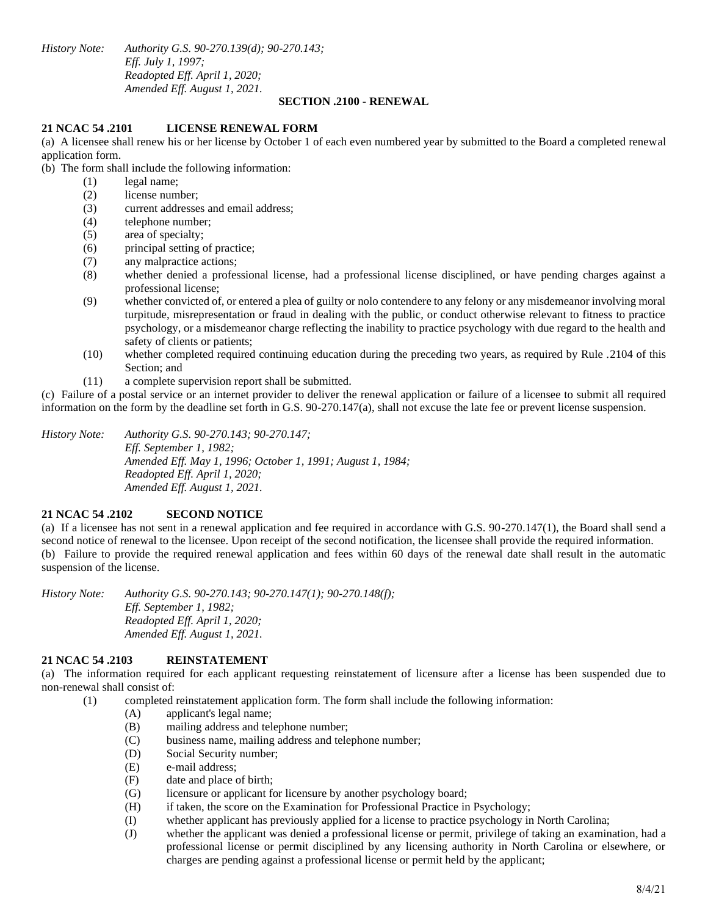*History Note: Authority G.S. 90-270.139(d); 90-270.143; Eff. July 1, 1997; Readopted Eff. April 1, 2020; Amended Eff. August 1, 2021.*

#### **SECTION .2100 - RENEWAL**

### **21 NCAC 54 .2101 LICENSE RENEWAL FORM**

(a) A licensee shall renew his or her license by October 1 of each even numbered year by submitted to the Board a completed renewal application form.

(b) The form shall include the following information:

- (1) legal name;
	- (2) license number;
	- (3) current addresses and email address;
	- (4) telephone number;
	- (5) area of specialty;
	- (6) principal setting of practice;
	- (7) any malpractice actions;
	- (8) whether denied a professional license, had a professional license disciplined, or have pending charges against a professional license;
	- (9) whether convicted of, or entered a plea of guilty or nolo contendere to any felony or any misdemeanor involving moral turpitude, misrepresentation or fraud in dealing with the public, or conduct otherwise relevant to fitness to practice psychology, or a misdemeanor charge reflecting the inability to practice psychology with due regard to the health and safety of clients or patients;
	- (10) whether completed required continuing education during the preceding two years, as required by Rule .2104 of this Section; and
	- (11) a complete supervision report shall be submitted.

(c) Failure of a postal service or an internet provider to deliver the renewal application or failure of a licensee to submit all required information on the form by the deadline set forth in G.S. 90-270.147(a), shall not excuse the late fee or prevent license suspension.

*History Note: Authority G.S. 90-270.143; 90-270.147; Eff. September 1, 1982; Amended Eff. May 1, 1996; October 1, 1991; August 1, 1984; Readopted Eff. April 1, 2020; Amended Eff. August 1, 2021.*

# **21 NCAC 54 .2102 SECOND NOTICE**

(a) If a licensee has not sent in a renewal application and fee required in accordance with G.S. 90-270.147(1), the Board shall send a second notice of renewal to the licensee. Upon receipt of the second notification, the licensee shall provide the required information. (b) Failure to provide the required renewal application and fees within 60 days of the renewal date shall result in the automatic suspension of the license.

*History Note: Authority G.S. 90-270.143; 90-270.147(1); 90-270.148(f); Eff. September 1, 1982; Readopted Eff. April 1, 2020; Amended Eff. August 1, 2021.*

#### **21 NCAC 54 .2103 REINSTATEMENT**

(a) The information required for each applicant requesting reinstatement of licensure after a license has been suspended due to non-renewal shall consist of:

(1) completed reinstatement application form. The form shall include the following information:

- (A) applicant's legal name;
- (B) mailing address and telephone number;
- (C) business name, mailing address and telephone number;
- (D) Social Security number;
- (E) e-mail address;
- (F) date and place of birth;
- (G) licensure or applicant for licensure by another psychology board;
- (H) if taken, the score on the Examination for Professional Practice in Psychology;
- (I) whether applicant has previously applied for a license to practice psychology in North Carolina;
- (J) whether the applicant was denied a professional license or permit, privilege of taking an examination, had a professional license or permit disciplined by any licensing authority in North Carolina or elsewhere, or charges are pending against a professional license or permit held by the applicant;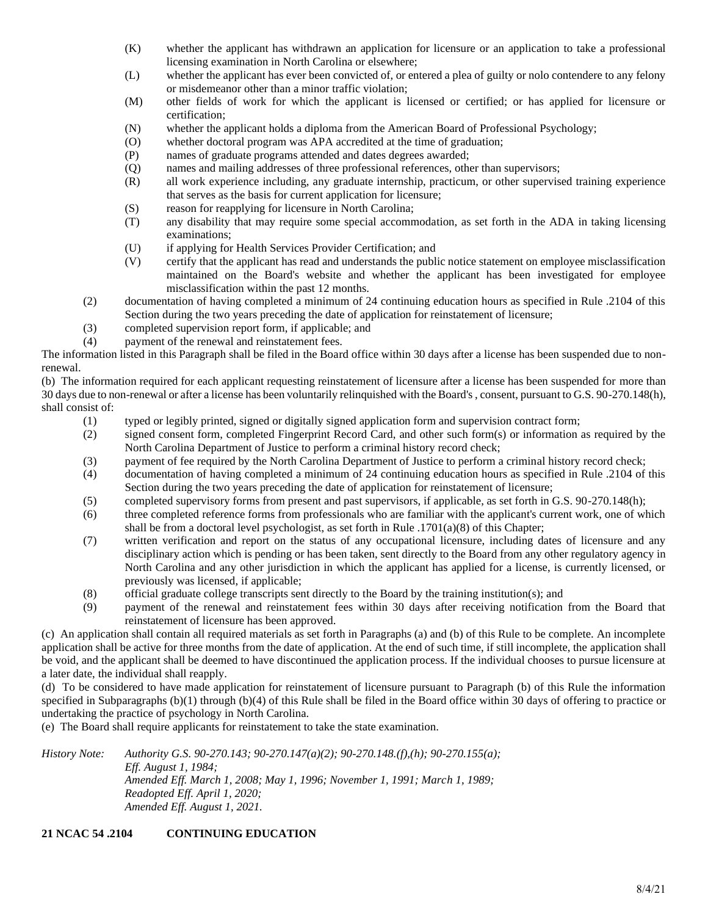- (K) whether the applicant has withdrawn an application for licensure or an application to take a professional licensing examination in North Carolina or elsewhere;
- (L) whether the applicant has ever been convicted of, or entered a plea of guilty or nolo contendere to any felony or misdemeanor other than a minor traffic violation;
- (M) other fields of work for which the applicant is licensed or certified; or has applied for licensure or certification;
- (N) whether the applicant holds a diploma from the American Board of Professional Psychology;
- (O) whether doctoral program was APA accredited at the time of graduation;
- (P) names of graduate programs attended and dates degrees awarded;
- (Q) names and mailing addresses of three professional references, other than supervisors;
- (R) all work experience including, any graduate internship, practicum, or other supervised training experience that serves as the basis for current application for licensure;
- (S) reason for reapplying for licensure in North Carolina;
- (T) any disability that may require some special accommodation, as set forth in the ADA in taking licensing examinations;
- (U) if applying for Health Services Provider Certification; and
- (V) certify that the applicant has read and understands the public notice statement on employee misclassification maintained on the Board's website and whether the applicant has been investigated for employee misclassification within the past 12 months.
- (2) documentation of having completed a minimum of 24 continuing education hours as specified in Rule .2104 of this Section during the two years preceding the date of application for reinstatement of licensure;
- (3) completed supervision report form, if applicable; and
- (4) payment of the renewal and reinstatement fees.

The information listed in this Paragraph shall be filed in the Board office within 30 days after a license has been suspended due to nonrenewal.

(b) The information required for each applicant requesting reinstatement of licensure after a license has been suspended for more than 30 days due to non-renewal or after a license has been voluntarily relinquished with the Board's , consent, pursuant to G.S. 90-270.148(h), shall consist of:

- (1) typed or legibly printed, signed or digitally signed application form and supervision contract form;
- (2) signed consent form, completed Fingerprint Record Card, and other such form(s) or information as required by the North Carolina Department of Justice to perform a criminal history record check;
- (3) payment of fee required by the North Carolina Department of Justice to perform a criminal history record check;
- (4) documentation of having completed a minimum of 24 continuing education hours as specified in Rule .2104 of this Section during the two years preceding the date of application for reinstatement of licensure;
- (5) completed supervisory forms from present and past supervisors, if applicable, as set forth in G.S. 90-270.148(h);
- (6) three completed reference forms from professionals who are familiar with the applicant's current work, one of which shall be from a doctoral level psychologist, as set forth in Rule .1701(a)(8) of this Chapter;
- (7) written verification and report on the status of any occupational licensure, including dates of licensure and any disciplinary action which is pending or has been taken, sent directly to the Board from any other regulatory agency in North Carolina and any other jurisdiction in which the applicant has applied for a license, is currently licensed, or previously was licensed, if applicable;
- (8) official graduate college transcripts sent directly to the Board by the training institution(s); and
- (9) payment of the renewal and reinstatement fees within 30 days after receiving notification from the Board that reinstatement of licensure has been approved.

(c) An application shall contain all required materials as set forth in Paragraphs (a) and (b) of this Rule to be complete. An incomplete application shall be active for three months from the date of application. At the end of such time, if still incomplete, the application shall be void, and the applicant shall be deemed to have discontinued the application process. If the individual chooses to pursue licensure at a later date, the individual shall reapply.

(d) To be considered to have made application for reinstatement of licensure pursuant to Paragraph (b) of this Rule the information specified in Subparagraphs (b)(1) through (b)(4) of this Rule shall be filed in the Board office within 30 days of offering to practice or undertaking the practice of psychology in North Carolina.

(e) The Board shall require applicants for reinstatement to take the state examination.

*History Note: Authority G.S. 90-270.143; 90-270.147(a)(2); 90-270.148.(f),(h); 90-270.155(a); Eff. August 1, 1984; Amended Eff. March 1, 2008; May 1, 1996; November 1, 1991; March 1, 1989; Readopted Eff. April 1, 2020; Amended Eff. August 1, 2021.*

# **21 NCAC 54 .2104 CONTINUING EDUCATION**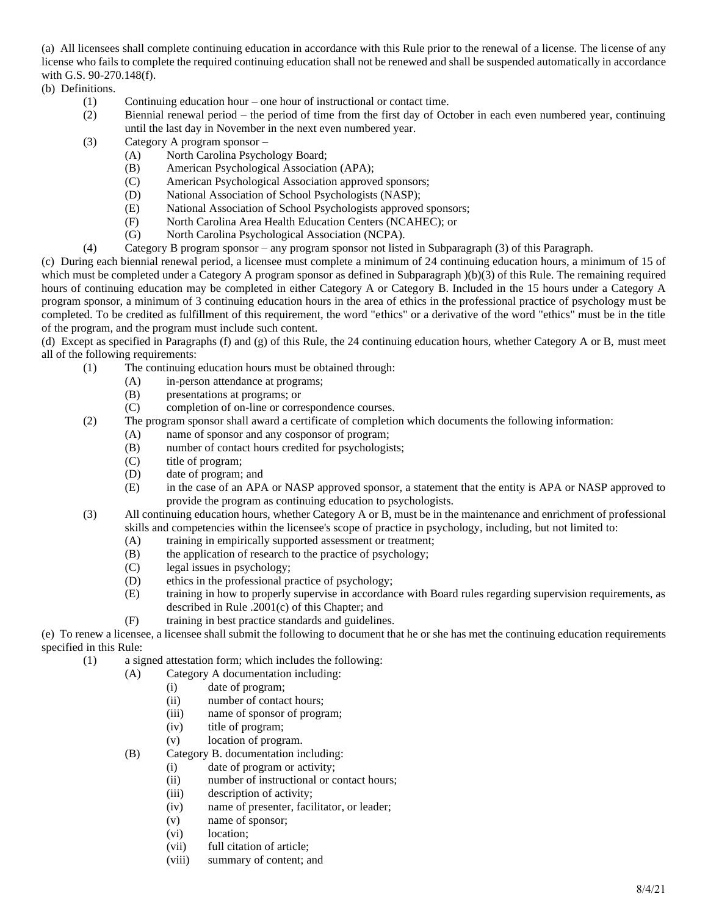(a) All licensees shall complete continuing education in accordance with this Rule prior to the renewal of a license. The license of any license who fails to complete the required continuing education shall not be renewed and shall be suspended automatically in accordance with G.S. 90-270.148(f).

(b) Definitions.

- (1) Continuing education hour one hour of instructional or contact time.
- (2) Biennial renewal period the period of time from the first day of October in each even numbered year, continuing until the last day in November in the next even numbered year.
- (3) Category A program sponsor
	- (A) North Carolina Psychology Board;
	- (B) American Psychological Association (APA);
	- (C) American Psychological Association approved sponsors;
	- (D) National Association of School Psychologists (NASP);
	- (E) National Association of School Psychologists approved sponsors;
	- (F) North Carolina Area Health Education Centers (NCAHEC); or
	- (G) North Carolina Psychological Association (NCPA).
- (4) Category B program sponsor any program sponsor not listed in Subparagraph (3) of this Paragraph.

(c) During each biennial renewal period, a licensee must complete a minimum of 24 continuing education hours, a minimum of 15 of which must be completed under a Category A program sponsor as defined in Subparagraph  $)(b)(3)$  of this Rule. The remaining required hours of continuing education may be completed in either Category A or Category B. Included in the 15 hours under a Category A program sponsor, a minimum of 3 continuing education hours in the area of ethics in the professional practice of psychology must be completed. To be credited as fulfillment of this requirement, the word "ethics" or a derivative of the word "ethics" must be in the title of the program, and the program must include such content.

(d) Except as specified in Paragraphs (f) and (g) of this Rule, the 24 continuing education hours, whether Category A or B, must meet all of the following requirements:

- (1) The continuing education hours must be obtained through:
	- (A) in-person attendance at programs;
	- (B) presentations at programs; or
	- (C) completion of on-line or correspondence courses.
- (2) The program sponsor shall award a certificate of completion which documents the following information:
	- (A) name of sponsor and any cosponsor of program;
	- (B) number of contact hours credited for psychologists;
	- (C) title of program;
	- (D) date of program; and
	- (E) in the case of an APA or NASP approved sponsor, a statement that the entity is APA or NASP approved to provide the program as continuing education to psychologists.
- (3) All continuing education hours, whether Category A or B, must be in the maintenance and enrichment of professional skills and competencies within the licensee's scope of practice in psychology, including, but not limited to:
	- (A) training in empirically supported assessment or treatment;
	- (B) the application of research to the practice of psychology;
	- (C) legal issues in psychology;
	- (D) ethics in the professional practice of psychology;
	- (E) training in how to properly supervise in accordance with Board rules regarding supervision requirements, as described in Rule .2001(c) of this Chapter; and
	- (F) training in best practice standards and guidelines.

(e) To renew a licensee, a licensee shall submit the following to document that he or she has met the continuing education requirements specified in this Rule:

- (1) a signed attestation form; which includes the following:
	- (A) Category A documentation including:
		- (i) date of program;
		- (ii) number of contact hours;
		- (iii) name of sponsor of program;
		- (iv) title of program;
		- (v) location of program.
	- (B) Category B. documentation including:
		- (i) date of program or activity;
		- (ii) number of instructional or contact hours;
		- (iii) description of activity;
		- (iv) name of presenter, facilitator, or leader;
		- (v) name of sponsor;
		- (vi) location;
		- (vii) full citation of article;
		- (viii) summary of content; and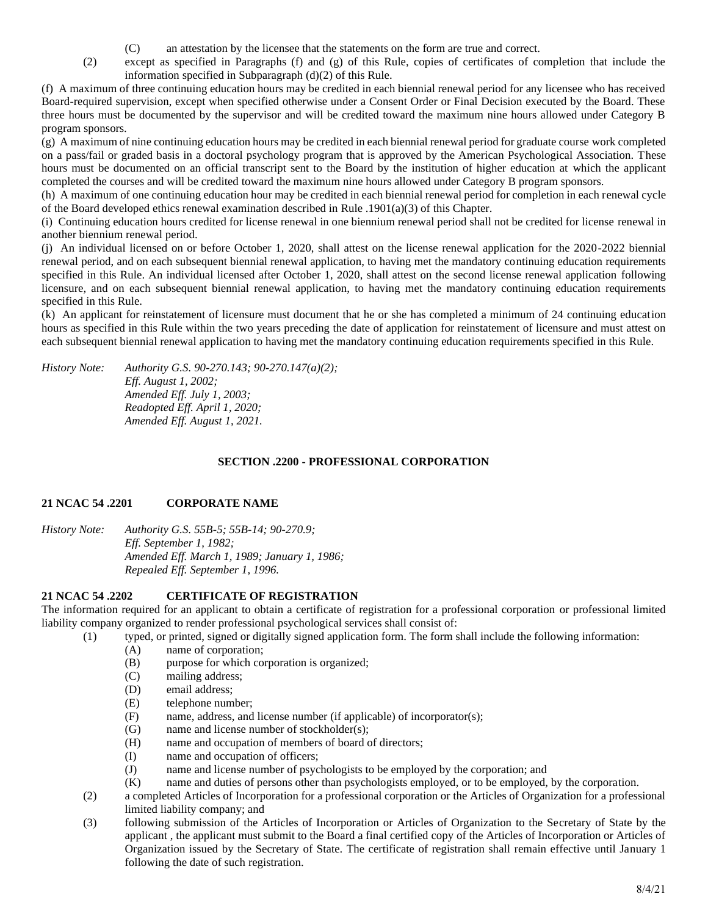- (C) an attestation by the licensee that the statements on the form are true and correct.
- (2) except as specified in Paragraphs (f) and (g) of this Rule, copies of certificates of completion that include the information specified in Subparagraph (d)(2) of this Rule.

(f) A maximum of three continuing education hours may be credited in each biennial renewal period for any licensee who has received Board-required supervision, except when specified otherwise under a Consent Order or Final Decision executed by the Board. These three hours must be documented by the supervisor and will be credited toward the maximum nine hours allowed under Category B program sponsors.

(g) A maximum of nine continuing education hours may be credited in each biennial renewal period for graduate course work completed on a pass/fail or graded basis in a doctoral psychology program that is approved by the American Psychological Association. These hours must be documented on an official transcript sent to the Board by the institution of higher education at which the applicant completed the courses and will be credited toward the maximum nine hours allowed under Category B program sponsors.

(h) A maximum of one continuing education hour may be credited in each biennial renewal period for completion in each renewal cycle of the Board developed ethics renewal examination described in Rule .1901(a)(3) of this Chapter.

(i) Continuing education hours credited for license renewal in one biennium renewal period shall not be credited for license renewal in another biennium renewal period.

(j) An individual licensed on or before October 1, 2020, shall attest on the license renewal application for the 2020-2022 biennial renewal period, and on each subsequent biennial renewal application, to having met the mandatory continuing education requirements specified in this Rule. An individual licensed after October 1, 2020, shall attest on the second license renewal application following licensure, and on each subsequent biennial renewal application, to having met the mandatory continuing education requirements specified in this Rule.

(k) An applicant for reinstatement of licensure must document that he or she has completed a minimum of 24 continuing education hours as specified in this Rule within the two years preceding the date of application for reinstatement of licensure and must attest on each subsequent biennial renewal application to having met the mandatory continuing education requirements specified in this Rule.

*History Note: Authority G.S. 90-270.143; 90-270.147(a)(2); Eff. August 1, 2002; Amended Eff. July 1, 2003; Readopted Eff. April 1, 2020; Amended Eff. August 1, 2021.*

# **SECTION .2200 - PROFESSIONAL CORPORATION**

# **21 NCAC 54 .2201 CORPORATE NAME**

*History Note: Authority G.S. 55B-5; 55B-14; 90-270.9; Eff. September 1, 1982; Amended Eff. March 1, 1989; January 1, 1986; Repealed Eff. September 1, 1996.*

# **21 NCAC 54 .2202 CERTIFICATE OF REGISTRATION**

The information required for an applicant to obtain a certificate of registration for a professional corporation or professional limited liability company organized to render professional psychological services shall consist of:

- (1) typed, or printed, signed or digitally signed application form. The form shall include the following information:
	- (A) name of corporation;
	- (B) purpose for which corporation is organized;
	- (C) mailing address;
	- (D) email address;
	- (E) telephone number;
	- (F) name, address, and license number (if applicable) of incorporator(s);
	- (G) name and license number of stockholder(s);
	- (H) name and occupation of members of board of directors;
	- (I) name and occupation of officers;
	- (J) name and license number of psychologists to be employed by the corporation; and
	- (K) name and duties of persons other than psychologists employed, or to be employed, by the corporation.
- (2) a completed Articles of Incorporation for a professional corporation or the Articles of Organization for a professional limited liability company; and
- (3) following submission of the Articles of Incorporation or Articles of Organization to the Secretary of State by the applicant , the applicant must submit to the Board a final certified copy of the Articles of Incorporation or Articles of Organization issued by the Secretary of State. The certificate of registration shall remain effective until January 1 following the date of such registration.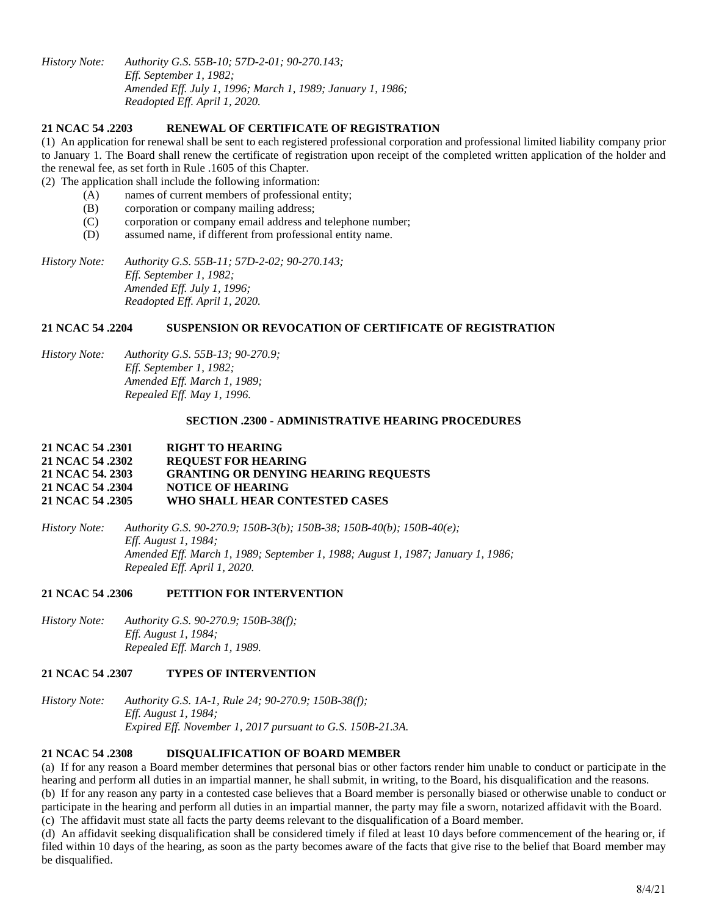*History Note: Authority G.S. 55B-10; 57D-2-01; 90-270.143; Eff. September 1, 1982; Amended Eff. July 1, 1996; March 1, 1989; January 1, 1986; Readopted Eff. April 1, 2020.*

### **21 NCAC 54 .2203 RENEWAL OF CERTIFICATE OF REGISTRATION**

(1) An application for renewal shall be sent to each registered professional corporation and professional limited liability company prior to January 1. The Board shall renew the certificate of registration upon receipt of the completed written application of the holder and the renewal fee, as set forth in Rule .1605 of this Chapter.

(2) The application shall include the following information:

- (A) names of current members of professional entity;
- (B) corporation or company mailing address;
- (C) corporation or company email address and telephone number;
- (D) assumed name, if different from professional entity name.

*History Note: Authority G.S. 55B-11; 57D-2-02; 90-270.143; Eff. September 1, 1982; Amended Eff. July 1, 1996; Readopted Eff. April 1, 2020.*

### **21 NCAC 54 .2204 SUSPENSION OR REVOCATION OF CERTIFICATE OF REGISTRATION**

*History Note: Authority G.S. 55B-13; 90-270.9; Eff. September 1, 1982; Amended Eff. March 1, 1989; Repealed Eff. May 1, 1996.*

#### **SECTION .2300 - ADMINISTRATIVE HEARING PROCEDURES**

### **21 NCAC 54 .2301 RIGHT TO HEARING 21 NCAC 54 .2302 REQUEST FOR HEARING 21 NCAC 54. 2303 GRANTING OR DENYING HEARING REQUESTS 21 NCAC 54 .2304 NOTICE OF HEARING 21 NCAC 54 .2305 WHO SHALL HEAR CONTESTED CASES**

*History Note: Authority G.S. 90-270.9; 150B-3(b); 150B-38; 150B-40(b); 150B-40(e); Eff. August 1, 1984; Amended Eff. March 1, 1989; September 1, 1988; August 1, 1987; January 1, 1986; Repealed Eff. April 1, 2020.*

#### **21 NCAC 54 .2306 PETITION FOR INTERVENTION**

*History Note: Authority G.S. 90-270.9; 150B-38(f); Eff. August 1, 1984; Repealed Eff. March 1, 1989.*

# **21 NCAC 54 .2307 TYPES OF INTERVENTION**

*History Note: Authority G.S. 1A-1, Rule 24; 90-270.9; 150B-38(f); Eff. August 1, 1984; Expired Eff. November 1, 2017 pursuant to G.S. 150B-21.3A.*

# **21 NCAC 54 .2308 DISQUALIFICATION OF BOARD MEMBER**

(a) If for any reason a Board member determines that personal bias or other factors render him unable to conduct or participate in the hearing and perform all duties in an impartial manner, he shall submit, in writing, to the Board, his disqualification and the reasons. (b) If for any reason any party in a contested case believes that a Board member is personally biased or otherwise unable to conduct or participate in the hearing and perform all duties in an impartial manner, the party may file a sworn, notarized affidavit with the Board.

(c) The affidavit must state all facts the party deems relevant to the disqualification of a Board member.

(d) An affidavit seeking disqualification shall be considered timely if filed at least 10 days before commencement of the hearing or, if filed within 10 days of the hearing, as soon as the party becomes aware of the facts that give rise to the belief that Board member may be disqualified.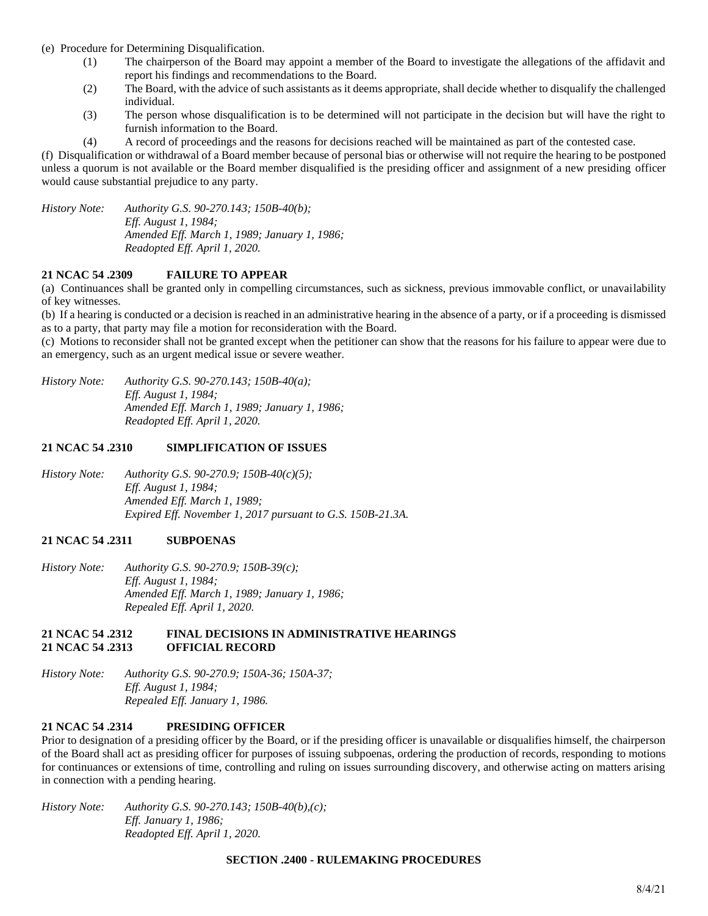- (e) Procedure for Determining Disqualification.
	- (1) The chairperson of the Board may appoint a member of the Board to investigate the allegations of the affidavit and report his findings and recommendations to the Board.
	- (2) The Board, with the advice of such assistants as it deems appropriate, shall decide whether to disqualify the challenged individual.
	- (3) The person whose disqualification is to be determined will not participate in the decision but will have the right to furnish information to the Board.
	- (4) A record of proceedings and the reasons for decisions reached will be maintained as part of the contested case.

(f) Disqualification or withdrawal of a Board member because of personal bias or otherwise will not require the hearing to be postponed unless a quorum is not available or the Board member disqualified is the presiding officer and assignment of a new presiding officer would cause substantial prejudice to any party.

*History Note: Authority G.S. 90-270.143; 150B-40(b); Eff. August 1, 1984; Amended Eff. March 1, 1989; January 1, 1986; Readopted Eff. April 1, 2020.*

# **21 NCAC 54 .2309 FAILURE TO APPEAR**

(a) Continuances shall be granted only in compelling circumstances, such as sickness, previous immovable conflict, or unavailability of key witnesses.

(b) If a hearing is conducted or a decision is reached in an administrative hearing in the absence of a party, or if a proceeding is dismissed as to a party, that party may file a motion for reconsideration with the Board.

(c) Motions to reconsider shall not be granted except when the petitioner can show that the reasons for his failure to appear were due to an emergency, such as an urgent medical issue or severe weather.

*History Note: Authority G.S. 90-270.143; 150B-40(a); Eff. August 1, 1984; Amended Eff. March 1, 1989; January 1, 1986; Readopted Eff. April 1, 2020.*

### **21 NCAC 54 .2310 SIMPLIFICATION OF ISSUES**

*History Note: Authority G.S. 90-270.9; 150B-40(c)(5); Eff. August 1, 1984; Amended Eff. March 1, 1989; Expired Eff. November 1, 2017 pursuant to G.S. 150B-21.3A.*

# **21 NCAC 54 .2311 SUBPOENAS**

*History Note: Authority G.S. 90-270.9; 150B-39(c); Eff. August 1, 1984; Amended Eff. March 1, 1989; January 1, 1986; Repealed Eff. April 1, 2020.*

#### **21 NCAC 54 .2312 FINAL DECISIONS IN ADMINISTRATIVE HEARINGS 21 NCAC 54 .2313 OFFICIAL RECORD**

*History Note: Authority G.S. 90-270.9; 150A-36; 150A-37; Eff. August 1, 1984; Repealed Eff. January 1, 1986.*

# **21 NCAC 54 .2314 PRESIDING OFFICER**

Prior to designation of a presiding officer by the Board, or if the presiding officer is unavailable or disqualifies himself, the chairperson of the Board shall act as presiding officer for purposes of issuing subpoenas, ordering the production of records, responding to motions for continuances or extensions of time, controlling and ruling on issues surrounding discovery, and otherwise acting on matters arising in connection with a pending hearing.

*History Note: Authority G.S. 90-270.143; 150B-40(b),(c); Eff. January 1, 1986; Readopted Eff. April 1, 2020.*

#### **SECTION .2400 - RULEMAKING PROCEDURES**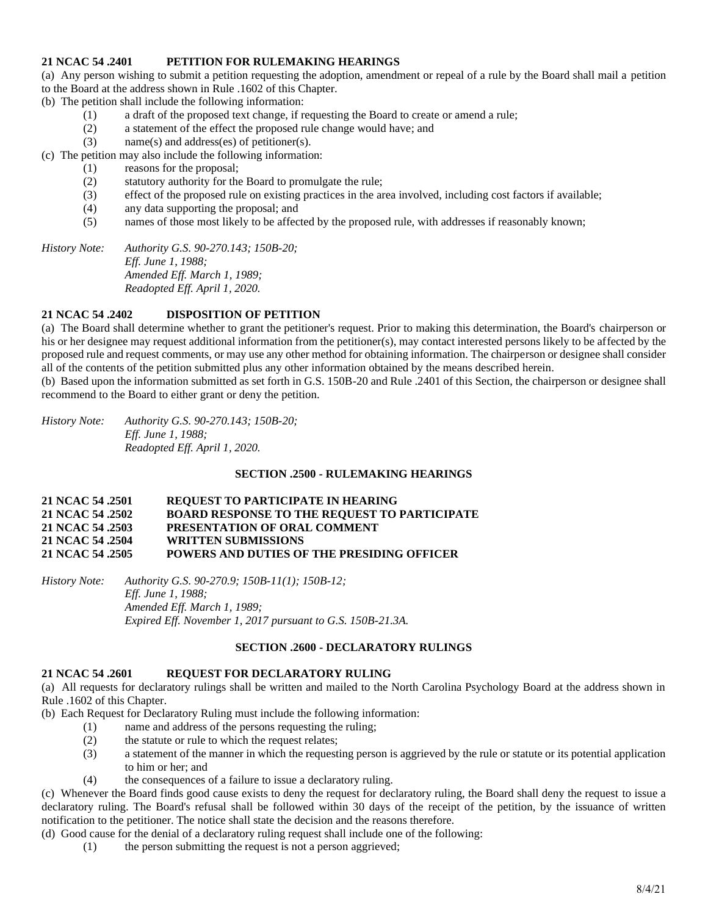### **21 NCAC 54 .2401 PETITION FOR RULEMAKING HEARINGS**

(a) Any person wishing to submit a petition requesting the adoption, amendment or repeal of a rule by the Board shall mail a petition to the Board at the address shown in Rule .1602 of this Chapter.

(b) The petition shall include the following information:

- (1) a draft of the proposed text change, if requesting the Board to create or amend a rule;
- (2) a statement of the effect the proposed rule change would have; and
- (3) name(s) and address(es) of petitioner(s).

(c) The petition may also include the following information:

- (1) reasons for the proposal;
- (2) statutory authority for the Board to promulgate the rule;
- (3) effect of the proposed rule on existing practices in the area involved, including cost factors if available;
- (4) any data supporting the proposal; and
- (5) names of those most likely to be affected by the proposed rule, with addresses if reasonably known;

*History Note: Authority G.S. 90-270.143; 150B-20; Eff. June 1, 1988; Amended Eff. March 1, 1989; Readopted Eff. April 1, 2020.*

# **21 NCAC 54 .2402 DISPOSITION OF PETITION**

(a) The Board shall determine whether to grant the petitioner's request. Prior to making this determination, the Board's chairperson or his or her designee may request additional information from the petitioner(s), may contact interested persons likely to be affected by the proposed rule and request comments, or may use any other method for obtaining information. The chairperson or designee shall consider all of the contents of the petition submitted plus any other information obtained by the means described herein.

(b) Based upon the information submitted as set forth in G.S. 150B-20 and Rule .2401 of this Section, the chairperson or designee shall recommend to the Board to either grant or deny the petition.

*History Note: Authority G.S. 90-270.143; 150B-20; Eff. June 1, 1988; Readopted Eff. April 1, 2020.*

# **SECTION .2500 - RULEMAKING HEARINGS**

#### **21 NCAC 54 .2501 REQUEST TO PARTICIPATE IN HEARING 21 NCAC 54 .2502 BOARD RESPONSE TO THE REQUEST TO PARTICIPATE 21 NCAC 54 .2503 PRESENTATION OF ORAL COMMENT 21 NCAC 54 .2504 WRITTEN SUBMISSIONS 21 NCAC 54 .2505 POWERS AND DUTIES OF THE PRESIDING OFFICER**

*History Note: Authority G.S. 90-270.9; 150B-11(1); 150B-12; Eff. June 1, 1988; Amended Eff. March 1, 1989; Expired Eff. November 1, 2017 pursuant to G.S. 150B-21.3A.*

#### **SECTION .2600 - DECLARATORY RULINGS**

### **21 NCAC 54 .2601 REQUEST FOR DECLARATORY RULING**

(a) All requests for declaratory rulings shall be written and mailed to the North Carolina Psychology Board at the address shown in Rule .1602 of this Chapter.

(b) Each Request for Declaratory Ruling must include the following information:

- (1) name and address of the persons requesting the ruling;
- (2) the statute or rule to which the request relates;
- (3) a statement of the manner in which the requesting person is aggrieved by the rule or statute or its potential application to him or her; and
- (4) the consequences of a failure to issue a declaratory ruling.

(c) Whenever the Board finds good cause exists to deny the request for declaratory ruling, the Board shall deny the request to issue a declaratory ruling. The Board's refusal shall be followed within 30 days of the receipt of the petition, by the issuance of written notification to the petitioner. The notice shall state the decision and the reasons therefore.

(d) Good cause for the denial of a declaratory ruling request shall include one of the following:

(1) the person submitting the request is not a person aggrieved;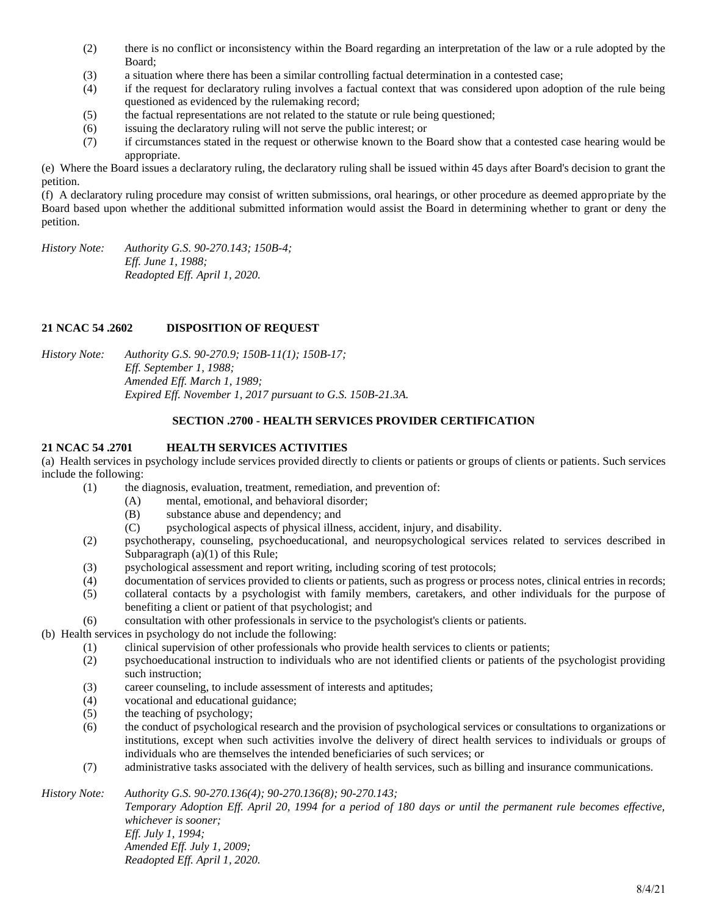- (2) there is no conflict or inconsistency within the Board regarding an interpretation of the law or a rule adopted by the Board;
- (3) a situation where there has been a similar controlling factual determination in a contested case;
- (4) if the request for declaratory ruling involves a factual context that was considered upon adoption of the rule being questioned as evidenced by the rulemaking record;
- (5) the factual representations are not related to the statute or rule being questioned;
- (6) issuing the declaratory ruling will not serve the public interest; or
- (7) if circumstances stated in the request or otherwise known to the Board show that a contested case hearing would be appropriate.

(e) Where the Board issues a declaratory ruling, the declaratory ruling shall be issued within 45 days after Board's decision to grant the petition.

(f) A declaratory ruling procedure may consist of written submissions, oral hearings, or other procedure as deemed appropriate by the Board based upon whether the additional submitted information would assist the Board in determining whether to grant or deny the petition.

*History Note: Authority G.S. 90-270.143; 150B-4; Eff. June 1, 1988; Readopted Eff. April 1, 2020.*

# **21 NCAC 54 .2602 DISPOSITION OF REQUEST**

*History Note: Authority G.S. 90-270.9; 150B-11(1); 150B-17; Eff. September 1, 1988; Amended Eff. March 1, 1989; Expired Eff. November 1, 2017 pursuant to G.S. 150B-21.3A.*

### **SECTION .2700 - HEALTH SERVICES PROVIDER CERTIFICATION**

# **21 NCAC 54 .2701 HEALTH SERVICES ACTIVITIES**

(a) Health services in psychology include services provided directly to clients or patients or groups of clients or patients. Such services include the following:

- (1) the diagnosis, evaluation, treatment, remediation, and prevention of:
	- (A) mental, emotional, and behavioral disorder;
	- (B) substance abuse and dependency; and
	- (C) psychological aspects of physical illness, accident, injury, and disability.
- (2) psychotherapy, counseling, psychoeducational, and neuropsychological services related to services described in Subparagraph (a)(1) of this Rule;
- (3) psychological assessment and report writing, including scoring of test protocols;
- (4) documentation of services provided to clients or patients, such as progress or process notes, clinical entries in records;
- (5) collateral contacts by a psychologist with family members, caretakers, and other individuals for the purpose of benefiting a client or patient of that psychologist; and
- (6) consultation with other professionals in service to the psychologist's clients or patients.

(b) Health services in psychology do not include the following:

- $(1)$  clinical supervision of other professionals who provide health services to clients or patients;
- (2) psychoeducational instruction to individuals who are not identified clients or patients of the psychologist providing such instruction;
- (3) career counseling, to include assessment of interests and aptitudes;
- (4) vocational and educational guidance;
- (5) the teaching of psychology;
- (6) the conduct of psychological research and the provision of psychological services or consultations to organizations or institutions, except when such activities involve the delivery of direct health services to individuals or groups of individuals who are themselves the intended beneficiaries of such services; or
- (7) administrative tasks associated with the delivery of health services, such as billing and insurance communications.

*History Note: Authority G.S. 90-270.136(4); 90-270.136(8); 90-270.143;*

*Temporary Adoption Eff. April 20, 1994 for a period of 180 days or until the permanent rule becomes effective, whichever is sooner; Eff. July 1, 1994; Amended Eff. July 1, 2009; Readopted Eff. April 1, 2020.*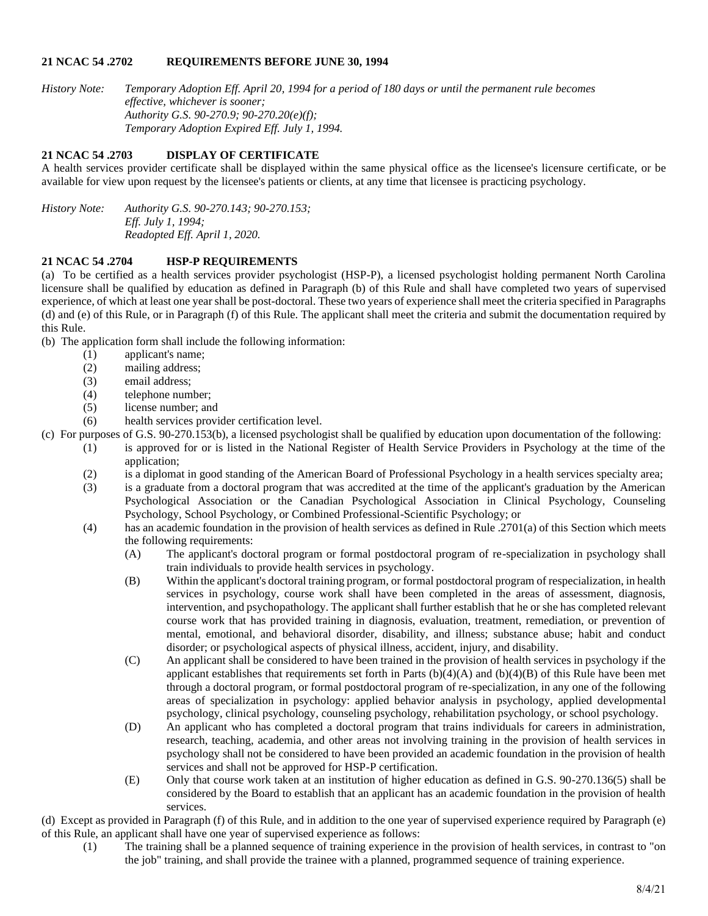### **21 NCAC 54 .2702 REQUIREMENTS BEFORE JUNE 30, 1994**

*History Note: Temporary Adoption Eff. April 20, 1994 for a period of 180 days or until the permanent rule becomes effective, whichever is sooner; Authority G.S. 90-270.9; 90-270.20(e)(f); Temporary Adoption Expired Eff. July 1, 1994.*

# **21 NCAC 54 .2703 DISPLAY OF CERTIFICATE**

A health services provider certificate shall be displayed within the same physical office as the licensee's licensure certificate, or be available for view upon request by the licensee's patients or clients, at any time that licensee is practicing psychology.

*History Note: Authority G.S. 90-270.143; 90-270.153; Eff. July 1, 1994; Readopted Eff. April 1, 2020.*

# **21 NCAC 54 .2704 HSP-P REQUIREMENTS**

(a) To be certified as a health services provider psychologist (HSP-P), a licensed psychologist holding permanent North Carolina licensure shall be qualified by education as defined in Paragraph (b) of this Rule and shall have completed two years of supervised experience, of which at least one year shall be post-doctoral. These two years of experience shall meet the criteria specified in Paragraphs (d) and (e) of this Rule, or in Paragraph (f) of this Rule. The applicant shall meet the criteria and submit the documentation required by this Rule.

(b) The application form shall include the following information:

- (1) applicant's name;
- (2) mailing address;
- (3) email address;
- (4) telephone number;
- (5) license number; and

(6) health services provider certification level.

- (c) For purposes of G.S. 90-270.153(b), a licensed psychologist shall be qualified by education upon documentation of the following:
	- (1) is approved for or is listed in the National Register of Health Service Providers in Psychology at the time of the application;
		- (2) is a diplomat in good standing of the American Board of Professional Psychology in a health services specialty area;
		- (3) is a graduate from a doctoral program that was accredited at the time of the applicant's graduation by the American Psychological Association or the Canadian Psychological Association in Clinical Psychology, Counseling Psychology, School Psychology, or Combined Professional-Scientific Psychology; or
		- (4) has an academic foundation in the provision of health services as defined in Rule .2701(a) of this Section which meets the following requirements:
			- (A) The applicant's doctoral program or formal postdoctoral program of re-specialization in psychology shall train individuals to provide health services in psychology.
			- (B) Within the applicant's doctoral training program, or formal postdoctoral program of respecialization, in health services in psychology, course work shall have been completed in the areas of assessment, diagnosis, intervention, and psychopathology. The applicant shall further establish that he or she has completed relevant course work that has provided training in diagnosis, evaluation, treatment, remediation, or prevention of mental, emotional, and behavioral disorder, disability, and illness; substance abuse; habit and conduct disorder; or psychological aspects of physical illness, accident, injury, and disability.
			- (C) An applicant shall be considered to have been trained in the provision of health services in psychology if the applicant establishes that requirements set forth in Parts  $(b)(4)(A)$  and  $(b)(4)(B)$  of this Rule have been met through a doctoral program, or formal postdoctoral program of re-specialization, in any one of the following areas of specialization in psychology: applied behavior analysis in psychology, applied developmental psychology, clinical psychology, counseling psychology, rehabilitation psychology, or school psychology.
			- (D) An applicant who has completed a doctoral program that trains individuals for careers in administration, research, teaching, academia, and other areas not involving training in the provision of health services in psychology shall not be considered to have been provided an academic foundation in the provision of health services and shall not be approved for HSP-P certification.
			- (E) Only that course work taken at an institution of higher education as defined in G.S. 90-270.136(5) shall be considered by the Board to establish that an applicant has an academic foundation in the provision of health services.

(d) Except as provided in Paragraph (f) of this Rule, and in addition to the one year of supervised experience required by Paragraph (e) of this Rule, an applicant shall have one year of supervised experience as follows:

(1) The training shall be a planned sequence of training experience in the provision of health services, in contrast to "on the job" training, and shall provide the trainee with a planned, programmed sequence of training experience.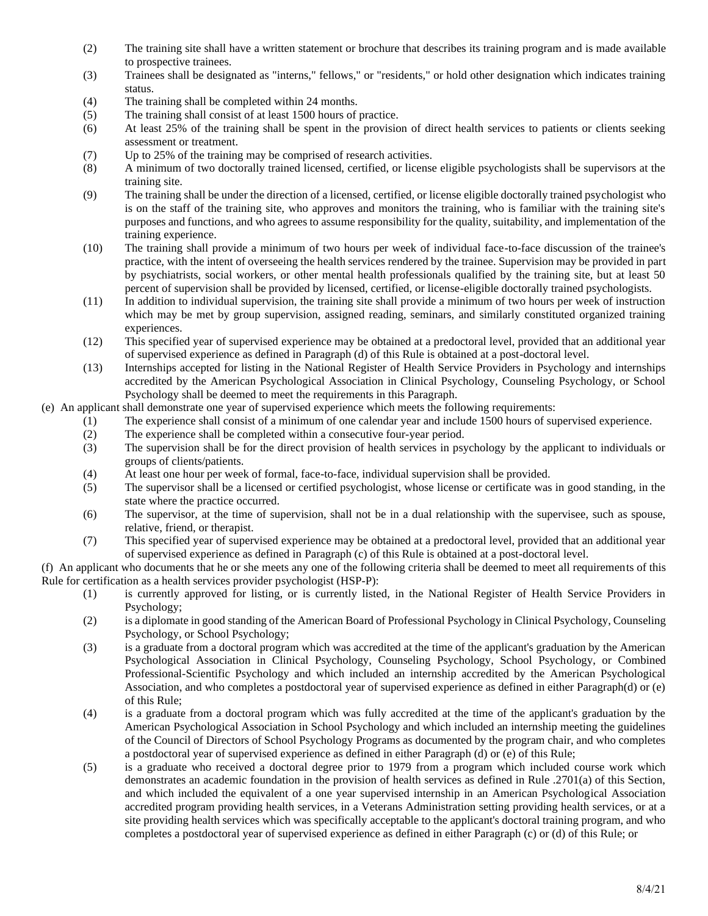- (2) The training site shall have a written statement or brochure that describes its training program and is made available to prospective trainees.
- (3) Trainees shall be designated as "interns," fellows," or "residents," or hold other designation which indicates training status.
- (4) The training shall be completed within 24 months.
- (5) The training shall consist of at least 1500 hours of practice.
- (6) At least 25% of the training shall be spent in the provision of direct health services to patients or clients seeking assessment or treatment.
- (7) Up to 25% of the training may be comprised of research activities.
- (8) A minimum of two doctorally trained licensed, certified, or license eligible psychologists shall be supervisors at the training site.
- (9) The training shall be under the direction of a licensed, certified, or license eligible doctorally trained psychologist who is on the staff of the training site, who approves and monitors the training, who is familiar with the training site's purposes and functions, and who agrees to assume responsibility for the quality, suitability, and implementation of the training experience.
- (10) The training shall provide a minimum of two hours per week of individual face-to-face discussion of the trainee's practice, with the intent of overseeing the health services rendered by the trainee. Supervision may be provided in part by psychiatrists, social workers, or other mental health professionals qualified by the training site, but at least 50 percent of supervision shall be provided by licensed, certified, or license-eligible doctorally trained psychologists.
- (11) In addition to individual supervision, the training site shall provide a minimum of two hours per week of instruction which may be met by group supervision, assigned reading, seminars, and similarly constituted organized training experiences.
- (12) This specified year of supervised experience may be obtained at a predoctoral level, provided that an additional year of supervised experience as defined in Paragraph (d) of this Rule is obtained at a post-doctoral level.
- (13) Internships accepted for listing in the National Register of Health Service Providers in Psychology and internships accredited by the American Psychological Association in Clinical Psychology, Counseling Psychology, or School Psychology shall be deemed to meet the requirements in this Paragraph.
- (e) An applicant shall demonstrate one year of supervised experience which meets the following requirements:
	- (1) The experience shall consist of a minimum of one calendar year and include 1500 hours of supervised experience.
	- (2) The experience shall be completed within a consecutive four-year period.
	- (3) The supervision shall be for the direct provision of health services in psychology by the applicant to individuals or groups of clients/patients.
	- (4) At least one hour per week of formal, face-to-face, individual supervision shall be provided.
	- (5) The supervisor shall be a licensed or certified psychologist, whose license or certificate was in good standing, in the state where the practice occurred.
	- (6) The supervisor, at the time of supervision, shall not be in a dual relationship with the supervisee, such as spouse, relative, friend, or therapist.
	- (7) This specified year of supervised experience may be obtained at a predoctoral level, provided that an additional year of supervised experience as defined in Paragraph (c) of this Rule is obtained at a post-doctoral level.

(f) An applicant who documents that he or she meets any one of the following criteria shall be deemed to meet all requirements of this Rule for certification as a health services provider psychologist (HSP-P):

- (1) is currently approved for listing, or is currently listed, in the National Register of Health Service Providers in Psychology;
- (2) is a diplomate in good standing of the American Board of Professional Psychology in Clinical Psychology, Counseling Psychology, or School Psychology;
- (3) is a graduate from a doctoral program which was accredited at the time of the applicant's graduation by the American Psychological Association in Clinical Psychology, Counseling Psychology, School Psychology, or Combined Professional-Scientific Psychology and which included an internship accredited by the American Psychological Association, and who completes a postdoctoral year of supervised experience as defined in either Paragraph(d) or (e) of this Rule;
- (4) is a graduate from a doctoral program which was fully accredited at the time of the applicant's graduation by the American Psychological Association in School Psychology and which included an internship meeting the guidelines of the Council of Directors of School Psychology Programs as documented by the program chair, and who completes a postdoctoral year of supervised experience as defined in either Paragraph (d) or (e) of this Rule;
- (5) is a graduate who received a doctoral degree prior to 1979 from a program which included course work which demonstrates an academic foundation in the provision of health services as defined in Rule .2701(a) of this Section, and which included the equivalent of a one year supervised internship in an American Psychological Association accredited program providing health services, in a Veterans Administration setting providing health services, or at a site providing health services which was specifically acceptable to the applicant's doctoral training program, and who completes a postdoctoral year of supervised experience as defined in either Paragraph (c) or (d) of this Rule; or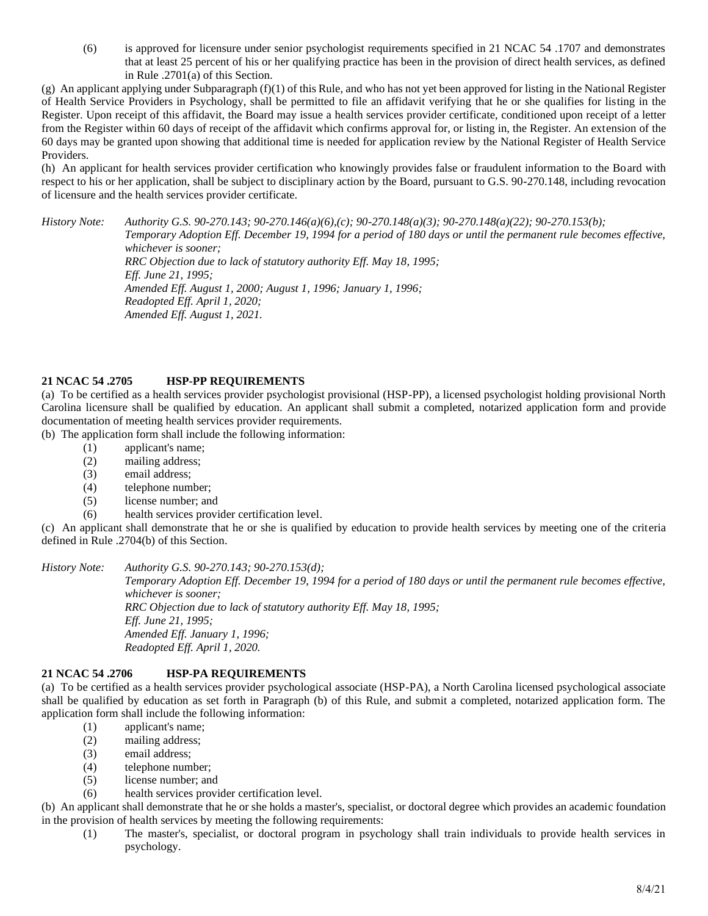(6) is approved for licensure under senior psychologist requirements specified in 21 NCAC 54 .1707 and demonstrates that at least 25 percent of his or her qualifying practice has been in the provision of direct health services, as defined in Rule .2701(a) of this Section.

(g) An applicant applying under Subparagraph  $(f)(1)$  of this Rule, and who has not yet been approved for listing in the National Register of Health Service Providers in Psychology, shall be permitted to file an affidavit verifying that he or she qualifies for listing in the Register. Upon receipt of this affidavit, the Board may issue a health services provider certificate, conditioned upon receipt of a letter from the Register within 60 days of receipt of the affidavit which confirms approval for, or listing in, the Register. An extension of the 60 days may be granted upon showing that additional time is needed for application review by the National Register of Health Service Providers.

(h) An applicant for health services provider certification who knowingly provides false or fraudulent information to the Board with respect to his or her application, shall be subject to disciplinary action by the Board, pursuant to G.S. 90-270.148, including revocation of licensure and the health services provider certificate.

*History Note: Authority G.S. 90-270.143; 90-270.146(a)(6),(c); 90-270.148(a)(3); 90-270.148(a)(22); 90-270.153(b); Temporary Adoption Eff. December 19, 1994 for a period of 180 days or until the permanent rule becomes effective, whichever is sooner; RRC Objection due to lack of statutory authority Eff. May 18, 1995; Eff. June 21, 1995; Amended Eff. August 1, 2000; August 1, 1996; January 1, 1996; Readopted Eff. April 1, 2020; Amended Eff. August 1, 2021.*

# **21 NCAC 54 .2705 HSP-PP REQUIREMENTS**

(a) To be certified as a health services provider psychologist provisional (HSP-PP), a licensed psychologist holding provisional North Carolina licensure shall be qualified by education. An applicant shall submit a completed, notarized application form and provide documentation of meeting health services provider requirements.

(b) The application form shall include the following information:

- (1) applicant's name;
- (2) mailing address;
- (3) email address;
- (4) telephone number;
- (5) license number; and
- (6) health services provider certification level.

(c) An applicant shall demonstrate that he or she is qualified by education to provide health services by meeting one of the criteria defined in Rule .2704(b) of this Section.

#### *History Note: Authority G.S. 90-270.143; 90-270.153(d);*

*Temporary Adoption Eff. December 19, 1994 for a period of 180 days or until the permanent rule becomes effective, whichever is sooner; RRC Objection due to lack of statutory authority Eff. May 18, 1995; Eff. June 21, 1995; Amended Eff. January 1, 1996; Readopted Eff. April 1, 2020.*

### **21 NCAC 54 .2706 HSP-PA REQUIREMENTS**

(a) To be certified as a health services provider psychological associate (HSP-PA), a North Carolina licensed psychological associate shall be qualified by education as set forth in Paragraph (b) of this Rule, and submit a completed, notarized application form. The application form shall include the following information:

- (1) applicant's name;
- (2) mailing address;
- (3) email address;
- (4) telephone number;
- (5) license number; and
- (6) health services provider certification level.

(b) An applicant shall demonstrate that he or she holds a master's, specialist, or doctoral degree which provides an academic foundation in the provision of health services by meeting the following requirements:

(1) The master's, specialist, or doctoral program in psychology shall train individuals to provide health services in psychology.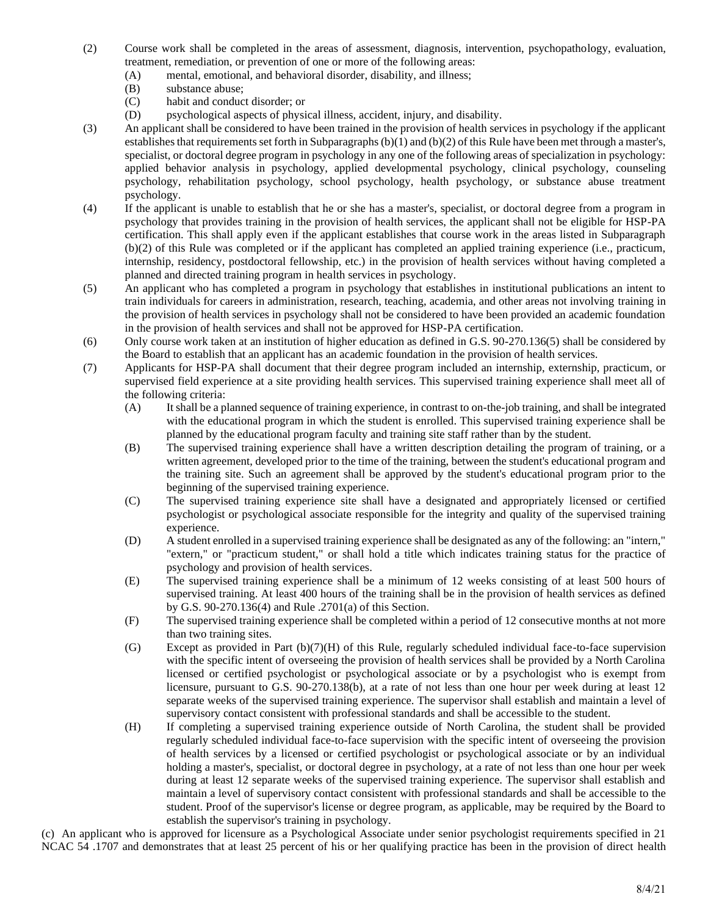- (2) Course work shall be completed in the areas of assessment, diagnosis, intervention, psychopathology, evaluation, treatment, remediation, or prevention of one or more of the following areas:
	- (A) mental, emotional, and behavioral disorder, disability, and illness;
	- (B) substance abuse;
	- (C) habit and conduct disorder; or
	- (D) psychological aspects of physical illness, accident, injury, and disability.
- (3) An applicant shall be considered to have been trained in the provision of health services in psychology if the applicant establishes that requirements set forth in Subparagraphs (b)(1) and (b)(2) of this Rule have been met through a master's, specialist, or doctoral degree program in psychology in any one of the following areas of specialization in psychology: applied behavior analysis in psychology, applied developmental psychology, clinical psychology, counseling psychology, rehabilitation psychology, school psychology, health psychology, or substance abuse treatment psychology.
- (4) If the applicant is unable to establish that he or she has a master's, specialist, or doctoral degree from a program in psychology that provides training in the provision of health services, the applicant shall not be eligible for HSP-PA certification. This shall apply even if the applicant establishes that course work in the areas listed in Subparagraph (b)(2) of this Rule was completed or if the applicant has completed an applied training experience (i.e., practicum, internship, residency, postdoctoral fellowship, etc.) in the provision of health services without having completed a planned and directed training program in health services in psychology.
- (5) An applicant who has completed a program in psychology that establishes in institutional publications an intent to train individuals for careers in administration, research, teaching, academia, and other areas not involving training in the provision of health services in psychology shall not be considered to have been provided an academic foundation in the provision of health services and shall not be approved for HSP-PA certification.
- (6) Only course work taken at an institution of higher education as defined in G.S. 90-270.136(5) shall be considered by the Board to establish that an applicant has an academic foundation in the provision of health services.
- (7) Applicants for HSP-PA shall document that their degree program included an internship, externship, practicum, or supervised field experience at a site providing health services. This supervised training experience shall meet all of the following criteria:
	- (A) It shall be a planned sequence of training experience, in contrast to on-the-job training, and shall be integrated with the educational program in which the student is enrolled. This supervised training experience shall be planned by the educational program faculty and training site staff rather than by the student.
	- (B) The supervised training experience shall have a written description detailing the program of training, or a written agreement, developed prior to the time of the training, between the student's educational program and the training site. Such an agreement shall be approved by the student's educational program prior to the beginning of the supervised training experience.
	- (C) The supervised training experience site shall have a designated and appropriately licensed or certified psychologist or psychological associate responsible for the integrity and quality of the supervised training experience.
	- (D) A student enrolled in a supervised training experience shall be designated as any of the following: an "intern," "extern," or "practicum student," or shall hold a title which indicates training status for the practice of psychology and provision of health services.
	- (E) The supervised training experience shall be a minimum of 12 weeks consisting of at least 500 hours of supervised training. At least 400 hours of the training shall be in the provision of health services as defined by G.S. 90-270.136(4) and Rule .2701(a) of this Section.
	- (F) The supervised training experience shall be completed within a period of 12 consecutive months at not more than two training sites.
	- (G) Except as provided in Part (b)(7)(H) of this Rule, regularly scheduled individual face-to-face supervision with the specific intent of overseeing the provision of health services shall be provided by a North Carolina licensed or certified psychologist or psychological associate or by a psychologist who is exempt from licensure, pursuant to G.S. 90-270.138(b), at a rate of not less than one hour per week during at least 12 separate weeks of the supervised training experience. The supervisor shall establish and maintain a level of supervisory contact consistent with professional standards and shall be accessible to the student.
	- (H) If completing a supervised training experience outside of North Carolina, the student shall be provided regularly scheduled individual face-to-face supervision with the specific intent of overseeing the provision of health services by a licensed or certified psychologist or psychological associate or by an individual holding a master's, specialist, or doctoral degree in psychology, at a rate of not less than one hour per week during at least 12 separate weeks of the supervised training experience. The supervisor shall establish and maintain a level of supervisory contact consistent with professional standards and shall be accessible to the student. Proof of the supervisor's license or degree program, as applicable, may be required by the Board to establish the supervisor's training in psychology.

(c) An applicant who is approved for licensure as a Psychological Associate under senior psychologist requirements specified in 21 NCAC 54 .1707 and demonstrates that at least 25 percent of his or her qualifying practice has been in the provision of direct health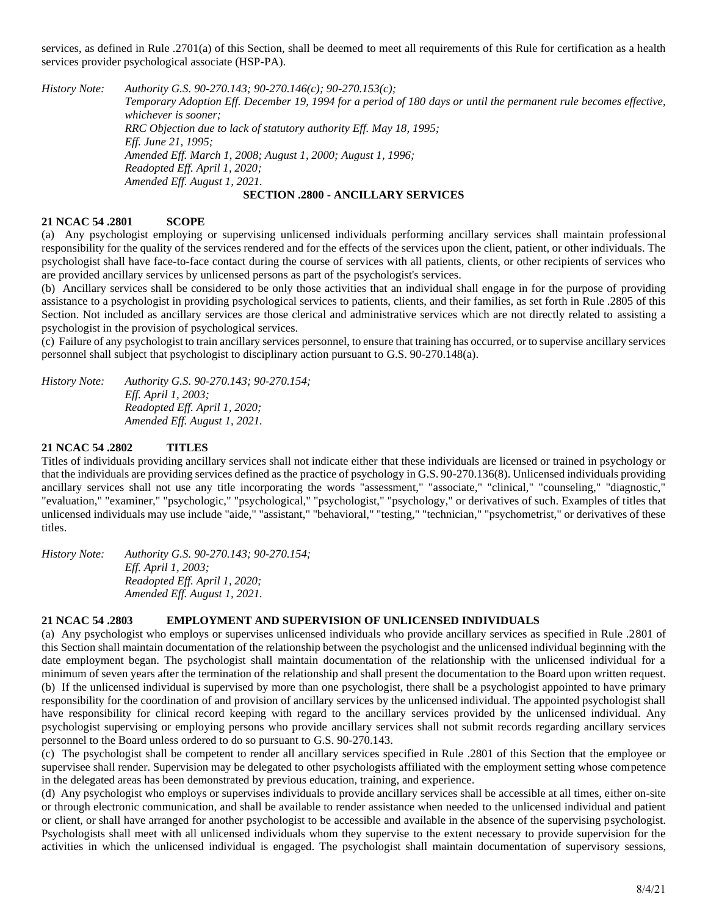services, as defined in Rule .2701(a) of this Section, shall be deemed to meet all requirements of this Rule for certification as a health services provider psychological associate (HSP-PA).

*History Note: Authority G.S. 90-270.143; 90-270.146(c); 90-270.153(c); Temporary Adoption Eff. December 19, 1994 for a period of 180 days or until the permanent rule becomes effective, whichever is sooner; RRC Objection due to lack of statutory authority Eff. May 18, 1995; Eff. June 21, 1995; Amended Eff. March 1, 2008; August 1, 2000; August 1, 1996; Readopted Eff. April 1, 2020; Amended Eff. August 1, 2021.*

# **SECTION .2800 - ANCILLARY SERVICES**

### **21 NCAC 54 .2801 SCOPE**

(a) Any psychologist employing or supervising unlicensed individuals performing ancillary services shall maintain professional responsibility for the quality of the services rendered and for the effects of the services upon the client, patient, or other individuals. The psychologist shall have face-to-face contact during the course of services with all patients, clients, or other recipients of services who are provided ancillary services by unlicensed persons as part of the psychologist's services.

(b) Ancillary services shall be considered to be only those activities that an individual shall engage in for the purpose of providing assistance to a psychologist in providing psychological services to patients, clients, and their families, as set forth in Rule .2805 of this Section. Not included as ancillary services are those clerical and administrative services which are not directly related to assisting a psychologist in the provision of psychological services.

(c) Failure of any psychologist to train ancillary services personnel, to ensure that training has occurred, or to supervise ancillary services personnel shall subject that psychologist to disciplinary action pursuant to G.S. 90-270.148(a).

*History Note: Authority G.S. 90-270.143; 90-270.154; Eff. April 1, 2003; Readopted Eff. April 1, 2020; Amended Eff. August 1, 2021.*

### **21 NCAC 54 .2802 TITLES**

Titles of individuals providing ancillary services shall not indicate either that these individuals are licensed or trained in psychology or that the individuals are providing services defined as the practice of psychology in G.S. 90-270.136(8). Unlicensed individuals providing ancillary services shall not use any title incorporating the words "assessment," "associate," "clinical," "counseling," "diagnostic," "evaluation," "examiner," "psychologic," "psychological," "psychologist," "psychology," or derivatives of such. Examples of titles that unlicensed individuals may use include "aide," "assistant," "behavioral," "testing," "technician," "psychometrist," or derivatives of these titles.

*History Note: Authority G.S. 90-270.143; 90-270.154; Eff. April 1, 2003; Readopted Eff. April 1, 2020; Amended Eff. August 1, 2021.*

# **21 NCAC 54 .2803 EMPLOYMENT AND SUPERVISION OF UNLICENSED INDIVIDUALS**

(a) Any psychologist who employs or supervises unlicensed individuals who provide ancillary services as specified in Rule .2801 of this Section shall maintain documentation of the relationship between the psychologist and the unlicensed individual beginning with the date employment began. The psychologist shall maintain documentation of the relationship with the unlicensed individual for a minimum of seven years after the termination of the relationship and shall present the documentation to the Board upon written request. (b) If the unlicensed individual is supervised by more than one psychologist, there shall be a psychologist appointed to have primary responsibility for the coordination of and provision of ancillary services by the unlicensed individual. The appointed psychologist shall have responsibility for clinical record keeping with regard to the ancillary services provided by the unlicensed individual. Any psychologist supervising or employing persons who provide ancillary services shall not submit records regarding ancillary services personnel to the Board unless ordered to do so pursuant to G.S. 90-270.143.

(c) The psychologist shall be competent to render all ancillary services specified in Rule .2801 of this Section that the employee or supervisee shall render. Supervision may be delegated to other psychologists affiliated with the employment setting whose competence in the delegated areas has been demonstrated by previous education, training, and experience.

(d) Any psychologist who employs or supervises individuals to provide ancillary services shall be accessible at all times, either on-site or through electronic communication, and shall be available to render assistance when needed to the unlicensed individual and patient or client, or shall have arranged for another psychologist to be accessible and available in the absence of the supervising psychologist. Psychologists shall meet with all unlicensed individuals whom they supervise to the extent necessary to provide supervision for the activities in which the unlicensed individual is engaged. The psychologist shall maintain documentation of supervisory sessions,